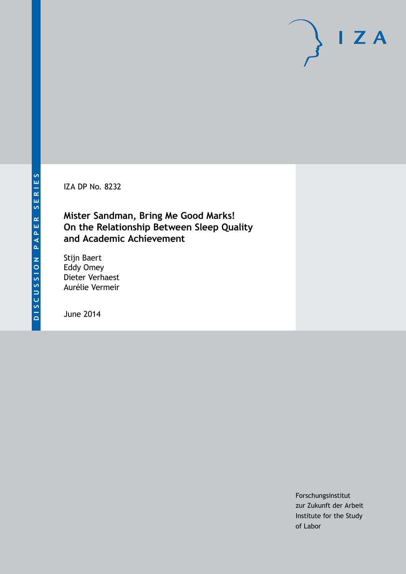IZA DP No. 8232

**Mister Sandman, Bring Me Good Marks! On the Relationship Between Sleep Quality and Academic Achievement**

Stijn Baert Eddy Omey Dieter Verhaest Aurélie Vermeir

June 2014

Forschungsinstitut zur Zukunft der Arbeit Institute for the Study of Labor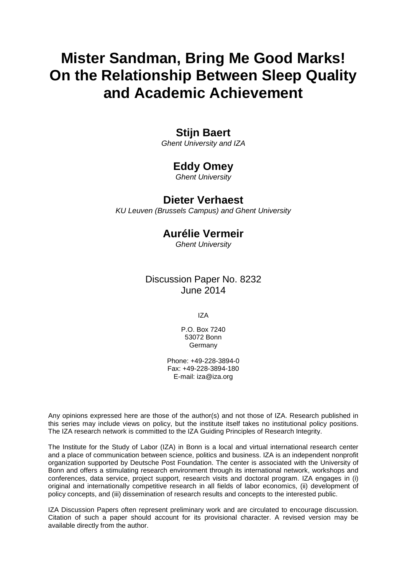# **Mister Sandman, Bring Me Good Marks! On the Relationship Between Sleep Quality and Academic Achievement**

## **Stijn Baert**

*Ghent University and IZA*

## **Eddy Omey**

*Ghent University*

### **Dieter Verhaest**

*KU Leuven (Brussels Campus) and Ghent University*

## **Aurélie Vermeir**

*Ghent University*

### Discussion Paper No. 8232 June 2014

IZA

P.O. Box 7240 53072 Bonn **Germany** 

Phone: +49-228-3894-0 Fax: +49-228-3894-180 E-mail: [iza@iza.org](mailto:iza@iza.org)

Any opinions expressed here are those of the author(s) and not those of IZA. Research published in this series may include views on policy, but the institute itself takes no institutional policy positions. The IZA research network is committed to the IZA Guiding Principles of Research Integrity.

The Institute for the Study of Labor (IZA) in Bonn is a local and virtual international research center and a place of communication between science, politics and business. IZA is an independent nonprofit organization supported by Deutsche Post Foundation. The center is associated with the University of Bonn and offers a stimulating research environment through its international network, workshops and conferences, data service, project support, research visits and doctoral program. IZA engages in (i) original and internationally competitive research in all fields of labor economics, (ii) development of policy concepts, and (iii) dissemination of research results and concepts to the interested public.

IZA Discussion Papers often represent preliminary work and are circulated to encourage discussion. Citation of such a paper should account for its provisional character. A revised version may be available directly from the author.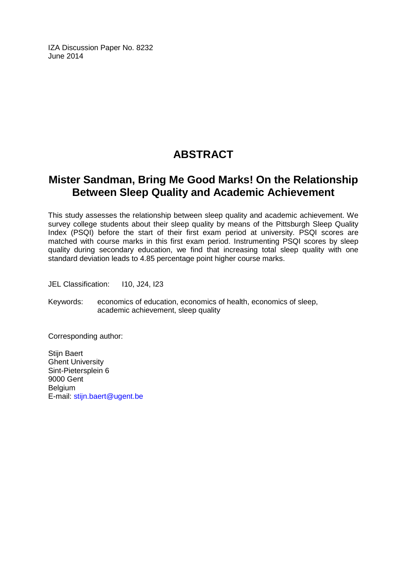IZA Discussion Paper No. 8232 June 2014

## **ABSTRACT**

## **Mister Sandman, Bring Me Good Marks! On the Relationship Between Sleep Quality and Academic Achievement**

This study assesses the relationship between sleep quality and academic achievement. We survey college students about their sleep quality by means of the Pittsburgh Sleep Quality Index (PSQI) before the start of their first exam period at university. PSQI scores are matched with course marks in this first exam period. Instrumenting PSQI scores by sleep quality during secondary education, we find that increasing total sleep quality with one standard deviation leads to 4.85 percentage point higher course marks.

JEL Classification: I10, J24, I23

Keywords: economics of education, economics of health, economics of sleep, academic achievement, sleep quality

Corresponding author:

Stijn Baert Ghent University Sint-Pietersplein 6 9000 Gent Belgium E-mail: [stijn.baert@ugent.be](mailto:stijn.baert@ugent.be)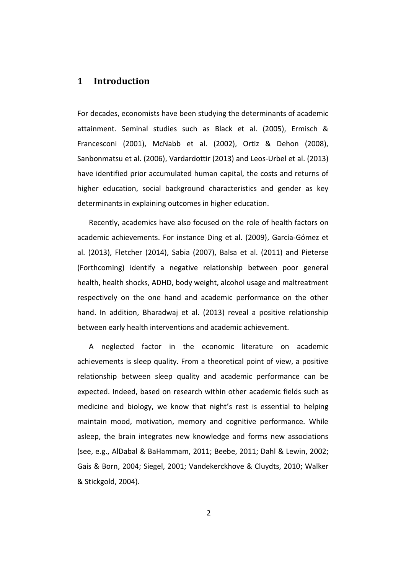### **1 Introduction**

For decades, economists have been studying the determinants of academic attainment. Seminal studies such as Black et al. (2005), Ermisch & Francesconi (2001), McNabb et al. (2002), Ortiz & Dehon (2008), Sanbonmatsu et al. (2006), Vardardottir (2013) and Leos-Urbel et al. (2013) have identified prior accumulated human capital, the costs and returns of higher education, social background characteristics and gender as key determinants in explaining outcomes in higher education.

Recently, academics have also focused on the role of health factors on academic achievements. For instance Ding et al. (2009), García-Gómez et al. (2013), Fletcher (2014), Sabia (2007), Balsa et al. (2011) and Pieterse (Forthcoming) identify a negative relationship between poor general health, health shocks, ADHD, body weight, alcohol usage and maltreatment respectively on the one hand and academic performance on the other hand. In addition, Bharadwaj et al. (2013) reveal a positive relationship between early health interventions and academic achievement.

A neglected factor in the economic literature on academic achievements is sleep quality. From a theoretical point of view, a positive relationship between sleep quality and academic performance can be expected. Indeed, based on research within other academic fields such as medicine and biology, we know that night's rest is essential to helping maintain mood, motivation, memory and cognitive performance. While asleep, the brain integrates new knowledge and forms new associations (see, e.g., AlDabal & BaHammam, 2011; Beebe, 2011; Dahl & Lewin, 2002; Gais & Born, 2004; Siegel, 2001; Vandekerckhove & Cluydts, 2010; Walker & Stickgold, 2004).

2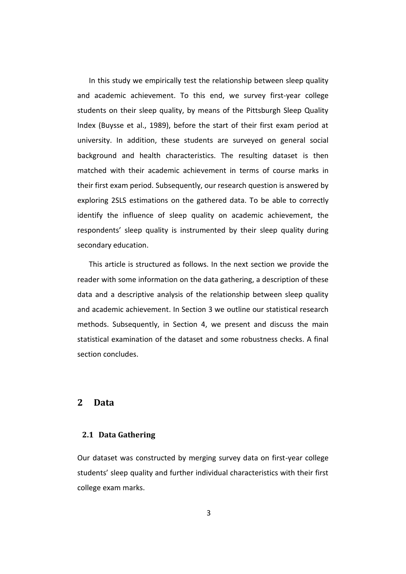In this study we empirically test the relationship between sleep quality and academic achievement. To this end, we survey first-year college students on their sleep quality, by means of the Pittsburgh Sleep Quality Index (Buysse et al., 1989), before the start of their first exam period at university. In addition, these students are surveyed on general social background and health characteristics. The resulting dataset is then matched with their academic achievement in terms of course marks in their first exam period. Subsequently, our research question is answered by exploring 2SLS estimations on the gathered data. To be able to correctly identify the influence of sleep quality on academic achievement, the respondents' sleep quality is instrumented by their sleep quality during secondary education.

This article is structured as follows. In the next section we provide the reader with some information on the data gathering, a description of these data and a descriptive analysis of the relationship between sleep quality and academic achievement. In Section 3 we outline our statistical research methods. Subsequently, in Section 4, we present and discuss the main statistical examination of the dataset and some robustness checks. A final section concludes.

### **2 Data**

#### **2.1 Data Gathering**

Our dataset was constructed by merging survey data on first-year college students' sleep quality and further individual characteristics with their first college exam marks.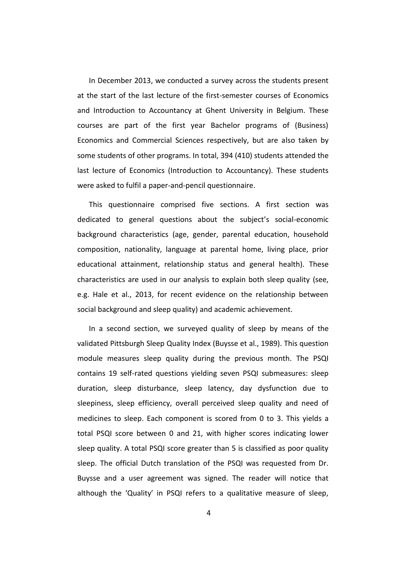In December 2013, we conducted a survey across the students present at the start of the last lecture of the first-semester courses of Economics and Introduction to Accountancy at Ghent University in Belgium. These courses are part of the first year Bachelor programs of (Business) Economics and Commercial Sciences respectively, but are also taken by some students of other programs. In total, 394 (410) students attended the last lecture of Economics (Introduction to Accountancy). These students were asked to fulfil a paper-and-pencil questionnaire.

This questionnaire comprised five sections. A first section was dedicated to general questions about the subject's social-economic background characteristics (age, gender, parental education, household composition, nationality, language at parental home, living place, prior educational attainment, relationship status and general health). These characteristics are used in our analysis to explain both sleep quality (see, e.g. Hale et al., 2013, for recent evidence on the relationship between social background and sleep quality) and academic achievement.

In a second section, we surveyed quality of sleep by means of the validated Pittsburgh Sleep Quality Index (Buysse et al., 1989). This question module measures sleep quality during the previous month. The PSQI contains 19 self-rated questions yielding seven PSQI submeasures: sleep duration, sleep disturbance, sleep latency, day dysfunction due to sleepiness, sleep efficiency, overall perceived sleep quality and need of medicines to sleep. Each component is scored from 0 to 3. This yields a total PSQI score between 0 and 21, with higher scores indicating lower sleep quality. A total PSQI score greater than 5 is classified as poor quality sleep. The official Dutch translation of the PSQI was requested from Dr. Buysse and a user agreement was signed. The reader will notice that although the 'Quality' in PSQI refers to a qualitative measure of sleep,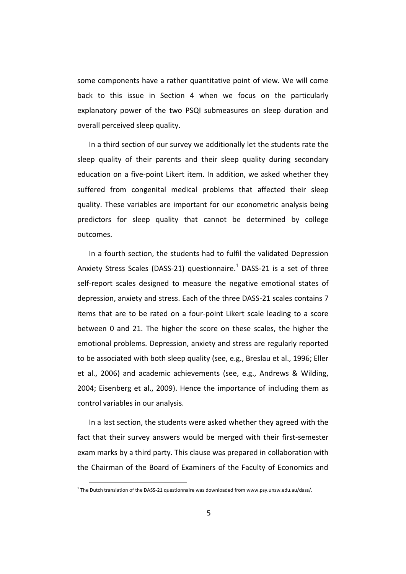some components have a rather quantitative point of view. We will come back to this issue in Section 4 when we focus on the particularly explanatory power of the two PSQI submeasures on sleep duration and overall perceived sleep quality.

In a third section of our survey we additionally let the students rate the sleep quality of their parents and their sleep quality during secondary education on a five-point Likert item. In addition, we asked whether they suffered from congenital medical problems that affected their sleep quality. These variables are important for our econometric analysis being predictors for sleep quality that cannot be determined by college outcomes.

In a fourth section, the students had to fulfil the validated Depression Anxiety Stress Scales (DASS-21) questionnaire.<sup>1</sup> DASS-21 is a set of three self-report scales designed to measure the negative emotional states of depression, anxiety and stress. Each of the three DASS-21 scales contains 7 items that are to be rated on a four-point Likert scale leading to a score between 0 and 21. The higher the score on these scales, the higher the emotional problems. Depression, anxiety and stress are regularly reported to be associated with both sleep quality (see, e.g., Breslau et al., 1996; Eller et al., 2006) and academic achievements (see, e.g., Andrews & Wilding, 2004; Eisenberg et al., 2009). Hence the importance of including them as control variables in our analysis.

In a last section, the students were asked whether they agreed with the fact that their survey answers would be merged with their first-semester exam marks by a third party. This clause was prepared in collaboration with the Chairman of the Board of Examiners of the Faculty of Economics and

-

<sup>&</sup>lt;sup>1</sup> The Dutch translation of the DASS-21 questionnaire was downloaded from www.psy.unsw.edu.au/dass/.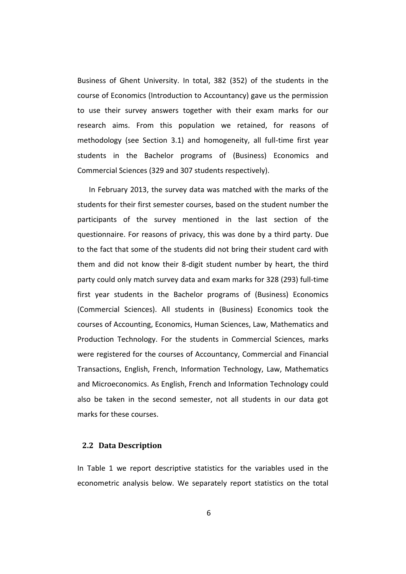Business of Ghent University. In total, 382 (352) of the students in the course of Economics (Introduction to Accountancy) gave us the permission to use their survey answers together with their exam marks for our research aims. From this population we retained, for reasons of methodology (see Section 3.1) and homogeneity, all full-time first year students in the Bachelor programs of (Business) Economics and Commercial Sciences (329 and 307 students respectively).

In February 2013, the survey data was matched with the marks of the students for their first semester courses, based on the student number the participants of the survey mentioned in the last section of the questionnaire. For reasons of privacy, this was done by a third party. Due to the fact that some of the students did not bring their student card with them and did not know their 8-digit student number by heart, the third party could only match survey data and exam marks for 328 (293) full-time first year students in the Bachelor programs of (Business) Economics (Commercial Sciences). All students in (Business) Economics took the courses of Accounting, Economics, Human Sciences, Law, Mathematics and Production Technology. For the students in Commercial Sciences, marks were registered for the courses of Accountancy, Commercial and Financial Transactions, English, French, Information Technology, Law, Mathematics and Microeconomics. As English, French and Information Technology could also be taken in the second semester, not all students in our data got marks for these courses.

#### **2.2 Data Description**

In Table 1 we report descriptive statistics for the variables used in the econometric analysis below. We separately report statistics on the total

6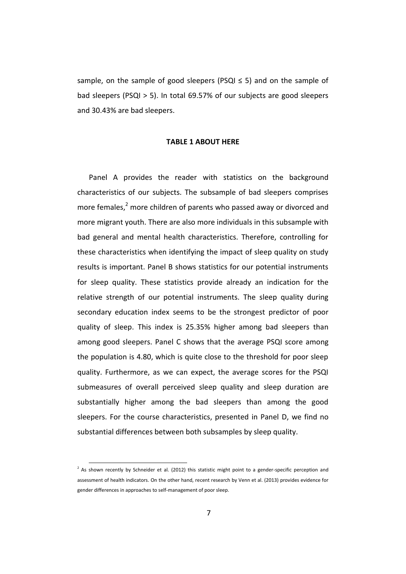sample, on the sample of good sleepers (PSQI  $\leq$  5) and on the sample of bad sleepers (PSQI > 5). In total 69.57% of our subjects are good sleepers and 30.43% are bad sleepers.

#### **TABLE 1 ABOUT HERE**

Panel A provides the reader with statistics on the background characteristics of our subjects. The subsample of bad sleepers comprises more females,<sup>2</sup> more children of parents who passed away or divorced and more migrant youth. There are also more individuals in this subsample with bad general and mental health characteristics. Therefore, controlling for these characteristics when identifying the impact of sleep quality on study results is important. Panel B shows statistics for our potential instruments for sleep quality. These statistics provide already an indication for the relative strength of our potential instruments. The sleep quality during secondary education index seems to be the strongest predictor of poor quality of sleep. This index is 25.35% higher among bad sleepers than among good sleepers. Panel C shows that the average PSQI score among the population is 4.80, which is quite close to the threshold for poor sleep quality. Furthermore, as we can expect, the average scores for the PSQI submeasures of overall perceived sleep quality and sleep duration are substantially higher among the bad sleepers than among the good sleepers. For the course characteristics, presented in Panel D, we find no substantial differences between both subsamples by sleep quality.

-

<sup>&</sup>lt;sup>2</sup> As shown recently by Schneider et al. (2012) this statistic might point to a gender-specific perception and assessment of health indicators. On the other hand, recent research by Venn et al. (2013) provides evidence for gender differences in approaches to self-management of poor sleep.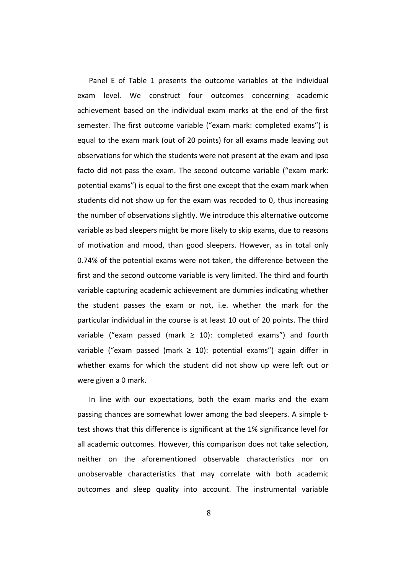Panel E of Table 1 presents the outcome variables at the individual exam level. We construct four outcomes concerning academic achievement based on the individual exam marks at the end of the first semester. The first outcome variable ("exam mark: completed exams") is equal to the exam mark (out of 20 points) for all exams made leaving out observations for which the students were not present at the exam and ipso facto did not pass the exam. The second outcome variable ("exam mark: potential exams") is equal to the first one except that the exam mark when students did not show up for the exam was recoded to 0, thus increasing the number of observations slightly. We introduce this alternative outcome variable as bad sleepers might be more likely to skip exams, due to reasons of motivation and mood, than good sleepers. However, as in total only 0.74% of the potential exams were not taken, the difference between the first and the second outcome variable is very limited. The third and fourth variable capturing academic achievement are dummies indicating whether the student passes the exam or not, i.e. whether the mark for the particular individual in the course is at least 10 out of 20 points. The third variable ("exam passed (mark  $\geq$  10): completed exams") and fourth variable ("exam passed (mark  $\geq$  10): potential exams") again differ in whether exams for which the student did not show up were left out or were given a 0 mark.

In line with our expectations, both the exam marks and the exam passing chances are somewhat lower among the bad sleepers. A simple ttest shows that this difference is significant at the 1% significance level for all academic outcomes. However, this comparison does not take selection, neither on the aforementioned observable characteristics nor on unobservable characteristics that may correlate with both academic outcomes and sleep quality into account. The instrumental variable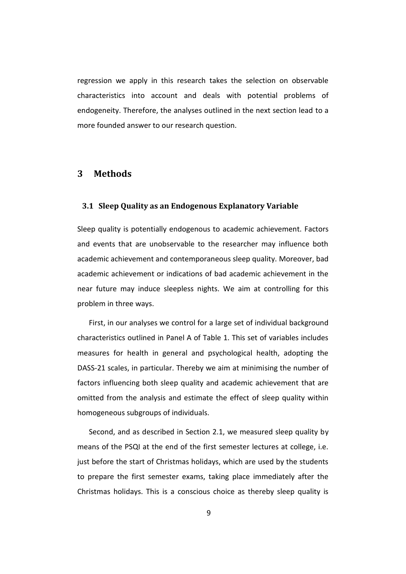regression we apply in this research takes the selection on observable characteristics into account and deals with potential problems of endogeneity. Therefore, the analyses outlined in the next section lead to a more founded answer to our research question.

#### **3 Methods**

#### **3.1 Sleep Quality as an Endogenous Explanatory Variable**

Sleep quality is potentially endogenous to academic achievement. Factors and events that are unobservable to the researcher may influence both academic achievement and contemporaneous sleep quality. Moreover, bad academic achievement or indications of bad academic achievement in the near future may induce sleepless nights. We aim at controlling for this problem in three ways.

First, in our analyses we control for a large set of individual background characteristics outlined in Panel A of Table 1. This set of variables includes measures for health in general and psychological health, adopting the DASS-21 scales, in particular. Thereby we aim at minimising the number of factors influencing both sleep quality and academic achievement that are omitted from the analysis and estimate the effect of sleep quality within homogeneous subgroups of individuals.

Second, and as described in Section 2.1, we measured sleep quality by means of the PSQI at the end of the first semester lectures at college, i.e. just before the start of Christmas holidays, which are used by the students to prepare the first semester exams, taking place immediately after the Christmas holidays. This is a conscious choice as thereby sleep quality is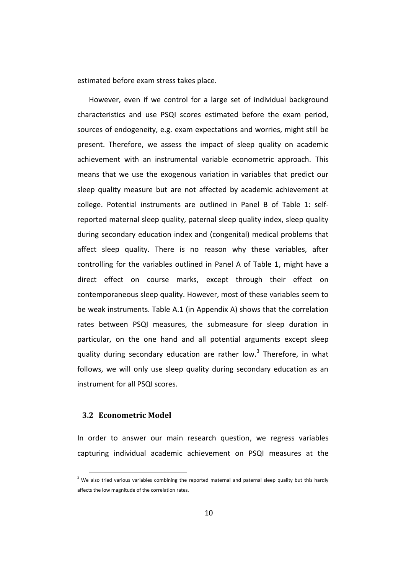estimated before exam stress takes place.

However, even if we control for a large set of individual background characteristics and use PSQI scores estimated before the exam period, sources of endogeneity, e.g. exam expectations and worries, might still be present. Therefore, we assess the impact of sleep quality on academic achievement with an instrumental variable econometric approach. This means that we use the exogenous variation in variables that predict our sleep quality measure but are not affected by academic achievement at college. Potential instruments are outlined in Panel B of Table 1: selfreported maternal sleep quality, paternal sleep quality index, sleep quality during secondary education index and (congenital) medical problems that affect sleep quality. There is no reason why these variables, after controlling for the variables outlined in Panel A of Table 1, might have a direct effect on course marks, except through their effect on contemporaneous sleep quality. However, most of these variables seem to be weak instruments. Table A.1 (in Appendix A) shows that the correlation rates between PSQI measures, the submeasure for sleep duration in particular, on the one hand and all potential arguments except sleep quality during secondary education are rather low.<sup>3</sup> Therefore, in what follows, we will only use sleep quality during secondary education as an instrument for all PSQI scores.

### **3.2 Econometric Model**

-

In order to answer our main research question, we regress variables capturing individual academic achievement on PSQI measures at the

<sup>&</sup>lt;sup>3</sup> We also tried various variables combining the reported maternal and paternal sleep quality but this hardly affects the low magnitude of the correlation rates.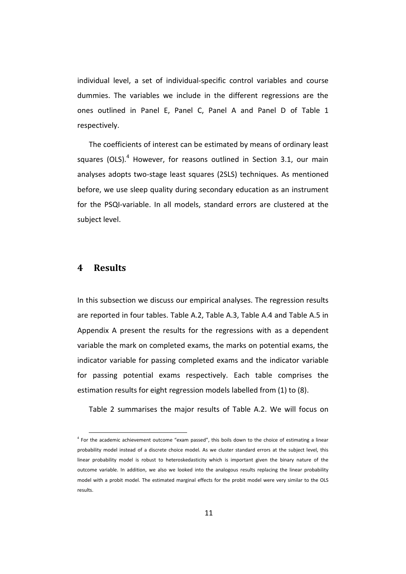individual level, a set of individual-specific control variables and course dummies. The variables we include in the different regressions are the ones outlined in Panel E, Panel C, Panel A and Panel D of Table 1 respectively.

The coefficients of interest can be estimated by means of ordinary least squares (OLS). $<sup>4</sup>$  However, for reasons outlined in Section 3.1, our main</sup> analyses adopts two-stage least squares (2SLS) techniques. As mentioned before, we use sleep quality during secondary education as an instrument for the PSQI-variable. In all models, standard errors are clustered at the subject level.

### **4 Results**

-

In this subsection we discuss our empirical analyses. The regression results are reported in four tables. Table A.2, Table A.3, Table A.4 and Table A.5 in Appendix A present the results for the regressions with as a dependent variable the mark on completed exams, the marks on potential exams, the indicator variable for passing completed exams and the indicator variable for passing potential exams respectively. Each table comprises the estimation results for eight regression models labelled from (1) to (8).

Table 2 summarises the major results of Table A.2. We will focus on

<sup>4</sup> For the academic achievement outcome "exam passed", this boils down to the choice of estimating a linear probability model instead of a discrete choice model. As we cluster standard errors at the subject level, this linear probability model is robust to heteroskedasticity which is important given the binary nature of the outcome variable. In addition, we also we looked into the analogous results replacing the linear probability model with a probit model. The estimated marginal effects for the probit model were very similar to the OLS results.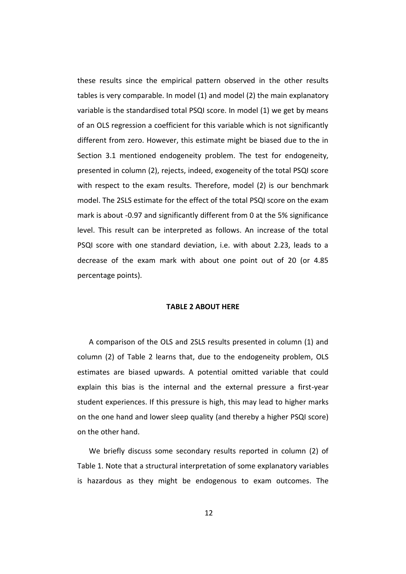these results since the empirical pattern observed in the other results tables is very comparable. In model (1) and model (2) the main explanatory variable is the standardised total PSQI score. In model (1) we get by means of an OLS regression a coefficient for this variable which is not significantly different from zero. However, this estimate might be biased due to the in Section 3.1 mentioned endogeneity problem. The test for endogeneity, presented in column (2), rejects, indeed, exogeneity of the total PSQI score with respect to the exam results. Therefore, model (2) is our benchmark model. The 2SLS estimate for the effect of the total PSQI score on the exam mark is about -0.97 and significantly different from 0 at the 5% significance level. This result can be interpreted as follows. An increase of the total PSQI score with one standard deviation, i.e. with about 2.23, leads to a decrease of the exam mark with about one point out of 20 (or 4.85 percentage points).

#### **TABLE 2 ABOUT HERE**

A comparison of the OLS and 2SLS results presented in column (1) and column (2) of Table 2 learns that, due to the endogeneity problem, OLS estimates are biased upwards. A potential omitted variable that could explain this bias is the internal and the external pressure a first-year student experiences. If this pressure is high, this may lead to higher marks on the one hand and lower sleep quality (and thereby a higher PSQI score) on the other hand.

We briefly discuss some secondary results reported in column (2) of Table 1. Note that a structural interpretation of some explanatory variables is hazardous as they might be endogenous to exam outcomes. The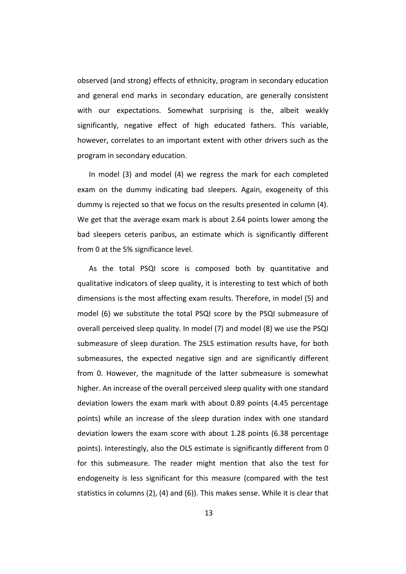observed (and strong) effects of ethnicity, program in secondary education and general end marks in secondary education, are generally consistent with our expectations. Somewhat surprising is the, albeit weakly significantly, negative effect of high educated fathers. This variable, however, correlates to an important extent with other drivers such as the program in secondary education.

In model (3) and model (4) we regress the mark for each completed exam on the dummy indicating bad sleepers. Again, exogeneity of this dummy is rejected so that we focus on the results presented in column (4). We get that the average exam mark is about 2.64 points lower among the bad sleepers ceteris paribus, an estimate which is significantly different from 0 at the 5% significance level.

As the total PSQI score is composed both by quantitative and qualitative indicators of sleep quality, it is interesting to test which of both dimensions is the most affecting exam results. Therefore, in model (5) and model (6) we substitute the total PSQI score by the PSQI submeasure of overall perceived sleep quality. In model (7) and model (8) we use the PSQI submeasure of sleep duration. The 2SLS estimation results have, for both submeasures, the expected negative sign and are significantly different from 0. However, the magnitude of the latter submeasure is somewhat higher. An increase of the overall perceived sleep quality with one standard deviation lowers the exam mark with about 0.89 points (4.45 percentage points) while an increase of the sleep duration index with one standard deviation lowers the exam score with about 1.28 points (6.38 percentage points). Interestingly, also the OLS estimate is significantly different from 0 for this submeasure. The reader might mention that also the test for endogeneity is less significant for this measure (compared with the test statistics in columns (2), (4) and (6)). This makes sense. While it is clear that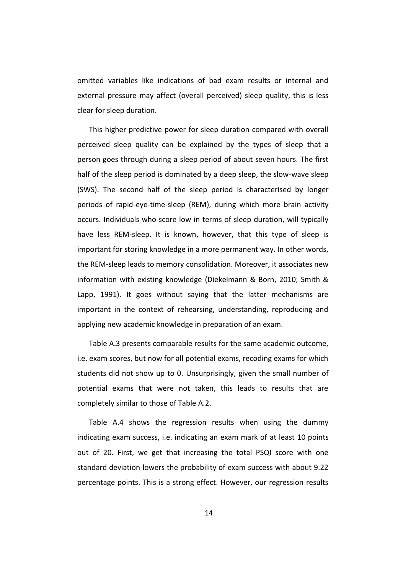omitted variables like indications of bad exam results or internal and external pressure may affect (overall perceived) sleep quality, this is less clear for sleep duration.

This higher predictive power for sleep duration compared with overall perceived sleep quality can be explained by the types of sleep that a person goes through during a sleep period of about seven hours. The first half of the sleep period is dominated by a deep sleep, the slow-wave sleep (SWS). The second half of the sleep period is characterised by longer periods of rapid-eye-time-sleep (REM), during which more brain activity occurs. Individuals who score low in terms of sleep duration, will typically have less REM-sleep. It is known, however, that this type of sleep is important for storing knowledge in a more permanent way. In other words, the REM-sleep leads to memory consolidation. Moreover, it associates new information with existing knowledge (Diekelmann & Born, 2010; Smith & Lapp, 1991). It goes without saying that the latter mechanisms are important in the context of rehearsing, understanding, reproducing and applying new academic knowledge in preparation of an exam.

Table A.3 presents comparable results for the same academic outcome, i.e. exam scores, but now for all potential exams, recoding exams for which students did not show up to 0. Unsurprisingly, given the small number of potential exams that were not taken, this leads to results that are completely similar to those of Table A.2.

Table A.4 shows the regression results when using the dummy indicating exam success, i.e. indicating an exam mark of at least 10 points out of 20. First, we get that increasing the total PSQI score with one standard deviation lowers the probability of exam success with about 9.22 percentage points. This is a strong effect. However, our regression results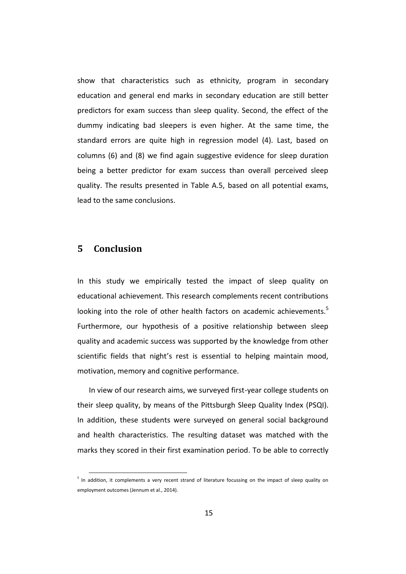show that characteristics such as ethnicity, program in secondary education and general end marks in secondary education are still better predictors for exam success than sleep quality. Second, the effect of the dummy indicating bad sleepers is even higher. At the same time, the standard errors are quite high in regression model (4). Last, based on columns (6) and (8) we find again suggestive evidence for sleep duration being a better predictor for exam success than overall perceived sleep quality. The results presented in Table A.5, based on all potential exams, lead to the same conclusions.

### **5 Conclusion**

-

In this study we empirically tested the impact of sleep quality on educational achievement. This research complements recent contributions looking into the role of other health factors on academic achievements.<sup>5</sup> Furthermore, our hypothesis of a positive relationship between sleep quality and academic success was supported by the knowledge from other scientific fields that night's rest is essential to helping maintain mood, motivation, memory and cognitive performance.

In view of our research aims, we surveyed first-year college students on their sleep quality, by means of the Pittsburgh Sleep Quality Index (PSQI). In addition, these students were surveyed on general social background and health characteristics. The resulting dataset was matched with the marks they scored in their first examination period. To be able to correctly

<sup>&</sup>lt;sup>5</sup> In addition, it complements a very recent strand of literature focussing on the impact of sleep quality on employment outcomes (Jennum et al., 2014).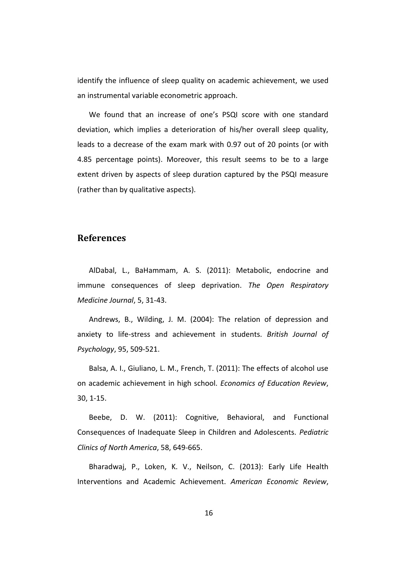identify the influence of sleep quality on academic achievement, we used an instrumental variable econometric approach.

We found that an increase of one's PSQI score with one standard deviation, which implies a deterioration of his/her overall sleep quality, leads to a decrease of the exam mark with 0.97 out of 20 points (or with 4.85 percentage points). Moreover, this result seems to be to a large extent driven by aspects of sleep duration captured by the PSQI measure (rather than by qualitative aspects).

### **References**

AlDabal, L., BaHammam, A. S. (2011): Metabolic, endocrine and immune consequences of sleep deprivation. *The Open Respiratory Medicine Journal*, 5, 31-43.

Andrews, B., Wilding, J. M. (2004): The relation of depression and anxiety to life-stress and achievement in students. *British Journal of Psychology*, 95, 509-521.

Balsa, A. I., Giuliano, L. M., French, T. (2011): The effects of alcohol use on academic achievement in high school. *Economics of Education Review*, 30, 1-15.

Beebe, D. W. (2011): Cognitive, Behavioral, and Functional Consequences of Inadequate Sleep in Children and Adolescents. *Pediatric Clinics of North America*, 58, 649-665.

Bharadwaj, P., Loken, K. V., Neilson, C. (2013): Early Life Health Interventions and Academic Achievement. *American Economic Review*,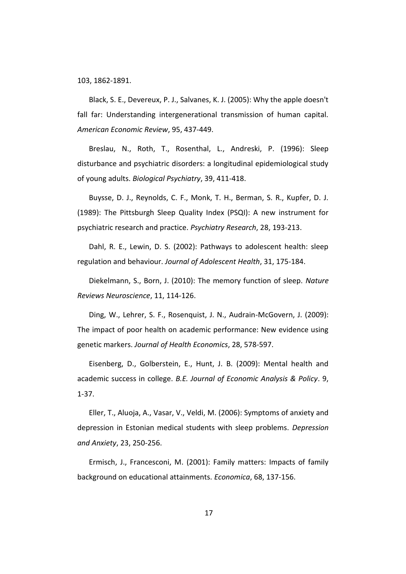103, 1862-1891.

Black, S. E., Devereux, P. J., Salvanes, K. J. (2005): Why the apple doesn't fall far: Understanding intergenerational transmission of human capital. *American Economic Review*, 95, 437-449.

Breslau, N., Roth, T., Rosenthal, L., Andreski, P. (1996): Sleep disturbance and psychiatric disorders: a longitudinal epidemiological study of young adults. *Biological Psychiatry*, 39, 411-418.

Buysse, D. J., Reynolds, C. F., Monk, T. H., Berman, S. R., Kupfer, D. J. (1989): The Pittsburgh Sleep Quality Index (PSQI): A new instrument for psychiatric research and practice. *Psychiatry Research*, 28, 193-213.

Dahl, R. E., Lewin, D. S. (2002): Pathways to adolescent health: sleep regulation and behaviour. *Journal of Adolescent Health*, 31, 175-184.

Diekelmann, S., Born, J. (2010): The memory function of sleep. *Nature Reviews Neuroscience*, 11, 114-126.

Ding, W., Lehrer, S. F., Rosenquist, J. N., Audrain-McGovern, J. (2009): The impact of poor health on academic performance: New evidence using genetic markers. *Journal of Health Economics*, 28, 578-597.

Eisenberg, D., Golberstein, E., Hunt, J. B. (2009): Mental health and academic success in college. *B.E. Journal of Economic Analysis & Policy*. 9, 1-37.

Eller, T., Aluoja, A., Vasar, V., Veldi, M. (2006): Symptoms of anxiety and depression in Estonian medical students with sleep problems. *Depression and Anxiety*, 23, 250-256.

Ermisch, J., Francesconi, M. (2001): Family matters: Impacts of family background on educational attainments. *Economica*, 68, 137-156.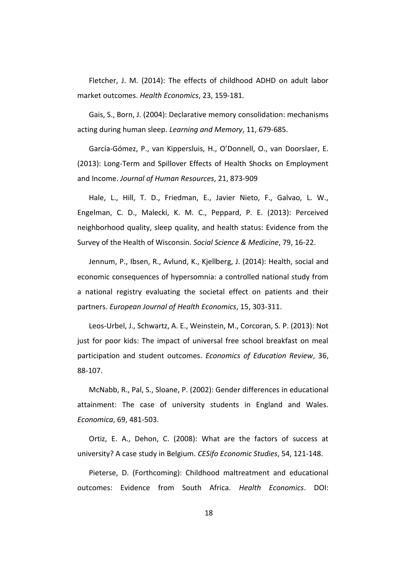Fletcher, J. M. (2014): The effects of childhood ADHD on adult labor market outcomes. *Health Economics*, 23, 159-181.

Gais, S., Born, J. (2004): Declarative memory consolidation: mechanisms acting during human sleep. *Learning and Memory*, 11, 679-685.

García-Gómez, P., van Kippersluis, H., O'Donnell, O., van Doorslaer, E. (2013): Long-Term and Spillover Effects of Health Shocks on Employment and Income. *Journal of Human Resources*, 21, 873-909

Hale, L., Hill, T. D., Friedman, E., Javier Nieto, F., Galvao, L. W., Engelman, C. D., Malecki, K. M. C., Peppard, P. E. (2013): Perceived neighborhood quality, sleep quality, and health status: Evidence from the Survey of the Health of Wisconsin. *Social Science & Medicine*, 79, 16-22.

Jennum, P., Ibsen, R., Avlund, K., Kjellberg, J. (2014): Health, social and economic consequences of hypersomnia: a controlled national study from a national registry evaluating the societal effect on patients and their partners. *European Journal of Health Economics*, 15, 303-311.

Leos-Urbel, J., Schwartz, A. E., Weinstein, M., Corcoran, S. P. (2013): Not just for poor kids: The impact of universal free school breakfast on meal participation and student outcomes. *Economics of Education Review*, 36, 88-107.

McNabb, R., Pal, S., Sloane, P. (2002): Gender differences in educational attainment: The case of university students in England and Wales. *Economica*, 69, 481-503.

Ortiz, E. A., Dehon, C. (2008): What are the factors of success at university? A case study in Belgium. *CESifo Economic Studies*, 54, 121-148.

Pieterse, D. (Forthcoming): Childhood maltreatment and educational outcomes: Evidence from South Africa. *Health Economics*. DOI: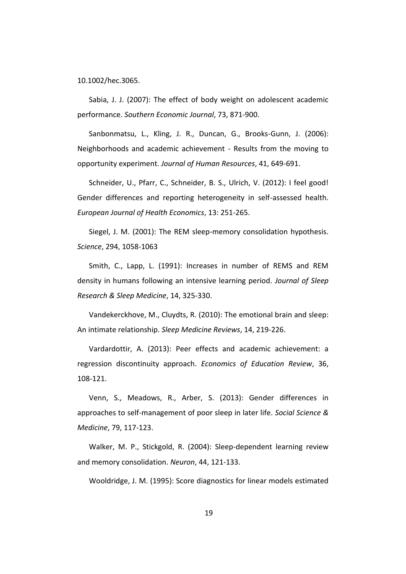10.1002/hec.3065.

Sabia, J. J. (2007): The effect of body weight on adolescent academic performance. *Southern Economic Journal*, 73, 871-900.

Sanbonmatsu, L., Kling, J. R., Duncan, G., Brooks-Gunn, J. (2006): Neighborhoods and academic achievement - Results from the moving to opportunity experiment. *Journal of Human Resources*, 41, 649-691.

Schneider, U., Pfarr, C., Schneider, B. S., Ulrich, V. (2012): I feel good! Gender differences and reporting heterogeneity in self-assessed health. *European Journal of Health Economics*, 13: 251-265.

Siegel, J. M. (2001): The REM sleep-memory consolidation hypothesis. *Science*, 294, 1058-1063

Smith, C., Lapp, L. (1991): Increases in number of REMS and REM density in humans following an intensive learning period. *Journal of Sleep Research & Sleep Medicine*, 14, 325-330.

Vandekerckhove, M., Cluydts, R. (2010): The emotional brain and sleep: An intimate relationship. *Sleep Medicine Reviews*, 14, 219-226.

Vardardottir, A. (2013): Peer effects and academic achievement: a regression discontinuity approach. *Economics of Education Review*, 36, 108-121.

Venn, S., Meadows, R., Arber, S. (2013): Gender differences in approaches to self-management of poor sleep in later life. *Social Science & Medicine*, 79, 117-123.

Walker, M. P., Stickgold, R. (2004): Sleep-dependent learning review and memory consolidation. *Neuron*, 44, 121-133.

Wooldridge, J. M. (1995): Score diagnostics for linear models estimated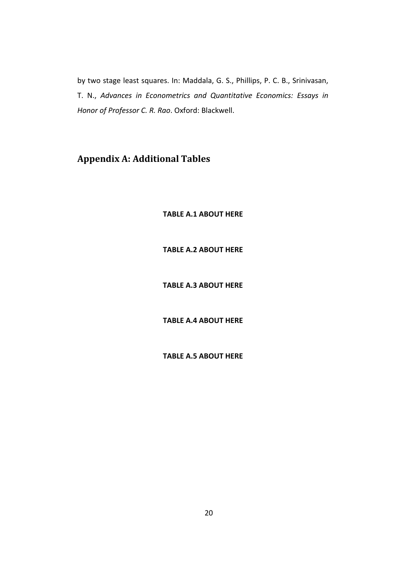by two stage least squares. In: Maddala, G. S., Phillips, P. C. B., Srinivasan, T. N., *Advances in Econometrics and Quantitative Economics: Essays in Honor of Professor C. R. Rao*. Oxford: Blackwell.

## **Appendix A: Additional Tables**

**TABLE A.1 ABOUT HERE**

**TABLE A.2 ABOUT HERE**

**TABLE A.3 ABOUT HERE** 

**TABLE A.4 ABOUT HERE**

**TABLE A.5 ABOUT HERE**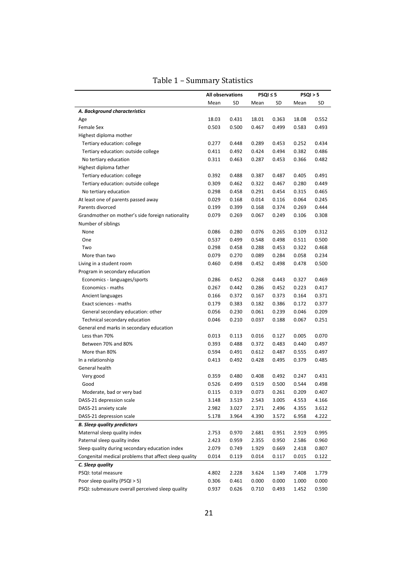|                                                       | All observations |       | PSQI ≤ 5 |       | PSQI > 5 |       |
|-------------------------------------------------------|------------------|-------|----------|-------|----------|-------|
|                                                       | Mean             | SD    | Mean     | SD    | Mean     | SD    |
| A. Background characteristics                         |                  |       |          |       |          |       |
| Age                                                   | 18.03            | 0.431 | 18.01    | 0.363 | 18.08    | 0.552 |
| <b>Female Sex</b>                                     | 0.503            | 0.500 | 0.467    | 0.499 | 0.583    | 0.493 |
| Highest diploma mother                                |                  |       |          |       |          |       |
| Tertiary education: college                           | 0.277            | 0.448 | 0.289    | 0.453 | 0.252    | 0.434 |
| Tertiary education: outside college                   | 0.411            | 0.492 | 0.424    | 0.494 | 0.382    | 0.486 |
| No tertiary education                                 | 0.311            | 0.463 | 0.287    | 0.453 | 0.366    | 0.482 |
| Highest diploma father                                |                  |       |          |       |          |       |
| Tertiary education: college                           | 0.392            | 0.488 | 0.387    | 0.487 | 0.405    | 0.491 |
| Tertiary education: outside college                   | 0.309            | 0.462 | 0.322    | 0.467 | 0.280    | 0.449 |
| No tertiary education                                 | 0.298            | 0.458 | 0.291    | 0.454 | 0.315    | 0.465 |
| At least one of parents passed away                   | 0.029            | 0.168 | 0.014    | 0.116 | 0.064    | 0.245 |
| Parents divorced                                      | 0.199            | 0.399 | 0.168    | 0.374 | 0.269    | 0.444 |
| Grandmother on mother's side foreign nationality      | 0.079            | 0.269 | 0.067    | 0.249 | 0.106    | 0.308 |
| Number of siblings                                    |                  |       |          |       |          |       |
| None                                                  | 0.086            | 0.280 | 0.076    | 0.265 | 0.109    | 0.312 |
| One                                                   | 0.537            | 0.499 | 0.548    | 0.498 | 0.511    | 0.500 |
| Two                                                   | 0.298            | 0.458 | 0.288    | 0.453 | 0.322    | 0.468 |
| More than two                                         | 0.079            | 0.270 | 0.089    | 0.284 | 0.058    | 0.234 |
| Living in a student room                              | 0.460            | 0.498 | 0.452    | 0.498 | 0.478    | 0.500 |
| Program in secondary education                        |                  |       |          |       |          |       |
| Economics - languages/sports                          | 0.286            | 0.452 | 0.268    | 0.443 | 0.327    | 0.469 |
| Economics - maths                                     | 0.267            | 0.442 | 0.286    | 0.452 | 0.223    | 0.417 |
| Ancient languages                                     | 0.166            | 0.372 | 0.167    | 0.373 | 0.164    | 0.371 |
| Exact sciences - maths                                | 0.179            | 0.383 | 0.182    | 0.386 | 0.172    | 0.377 |
| General secondary education: other                    | 0.056            | 0.230 | 0.061    | 0.239 | 0.046    | 0.209 |
| Technical secondary education                         | 0.046            | 0.210 | 0.037    | 0.188 | 0.067    | 0.251 |
| General end marks in secondary education              |                  |       |          |       |          |       |
| Less than 70%                                         | 0.013            | 0.113 | 0.016    | 0.127 | 0.005    | 0.070 |
| Between 70% and 80%                                   | 0.393            | 0.488 | 0.372    | 0.483 | 0.440    | 0.497 |
| More than 80%                                         | 0.594            | 0.491 | 0.612    | 0.487 | 0.555    | 0.497 |
| In a relationship                                     | 0.413            | 0.492 | 0.428    | 0.495 | 0.379    | 0.485 |
| General health                                        |                  |       |          |       |          |       |
| Very good                                             | 0.359            | 0.480 | 0.408    | 0.492 | 0.247    | 0.431 |
| Good                                                  | 0.526            | 0.499 | 0.519    | 0.500 | 0.544    | 0.498 |
| Moderate, bad or very bad                             | 0.115            | 0.319 | 0.073    | 0.261 | 0.209    | 0.407 |
| DASS-21 depression scale                              | 3.148            | 3.519 | 2.543    | 3.005 | 4.553    | 4.166 |
| DASS-21 anxiety scale                                 | 2.982            | 3.027 | 2.371    | 2.496 | 4.355    | 3.612 |
| DASS-21 depression scale                              | 5.178            | 3.964 | 4.390    | 3.572 | 6.958    | 4.222 |
| <b>B.</b> Sleep quality predictors                    |                  |       |          |       |          |       |
| Maternal sleep quality index                          | 2.753            | 0.970 | 2.681    | 0.951 | 2.919    | 0.995 |
| Paternal sleep quality index                          | 2.423            | 0.959 | 2.355    | 0.950 | 2.586    | 0.960 |
| Sleep quality during secondary education index        | 2.079            | 0.749 | 1.929    | 0.669 | 2.418    | 0.807 |
| Congenital medical problems that affect sleep quality | 0.014            | 0.119 | 0.014    | 0.117 | 0.015    | 0.122 |
| C. Sleep quality                                      |                  |       |          |       |          |       |
| PSQI: total measure                                   | 4.802            | 2.228 | 3.624    | 1.149 | 7.408    | 1.779 |
| Poor sleep quality (PSQI > 5)                         | 0.306            | 0.461 | 0.000    | 0.000 | 1.000    | 0.000 |
| PSQI: submeasure overall perceived sleep quality      | 0.937            | 0.626 | 0.710    | 0.493 | 1.452    | 0.590 |
|                                                       |                  |       |          |       |          |       |

### Table 1 – Summary Statistics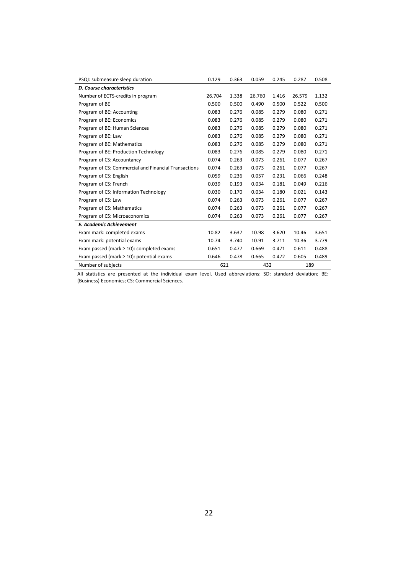| PSQI: submeasure sleep duration                      | 0.129  | 0.363 | 0.059  | 0.245 | 0.287  | 0.508 |
|------------------------------------------------------|--------|-------|--------|-------|--------|-------|
| <b>D. Course characteristics</b>                     |        |       |        |       |        |       |
| Number of ECTS-credits in program                    | 26.704 | 1.338 | 26.760 | 1.416 | 26.579 | 1.132 |
| Program of BE                                        | 0.500  | 0.500 | 0.490  | 0.500 | 0.522  | 0.500 |
| Program of BE: Accounting                            | 0.083  | 0.276 | 0.085  | 0.279 | 0.080  | 0.271 |
| Program of BE: Economics                             | 0.083  | 0.276 | 0.085  | 0.279 | 0.080  | 0.271 |
| Program of BE: Human Sciences                        | 0.083  | 0.276 | 0.085  | 0.279 | 0.080  | 0.271 |
| Program of BE: Law                                   | 0.083  | 0.276 | 0.085  | 0.279 | 0.080  | 0.271 |
| Program of BE: Mathematics                           | 0.083  | 0.276 | 0.085  | 0.279 | 0.080  | 0.271 |
| Program of BE: Production Technology                 | 0.083  | 0.276 | 0.085  | 0.279 | 0.080  | 0.271 |
| Program of CS: Accountancy                           | 0.074  | 0.263 | 0.073  | 0.261 | 0.077  | 0.267 |
| Program of CS: Commercial and Financial Transactions | 0.074  | 0.263 | 0.073  | 0.261 | 0.077  | 0.267 |
| Program of CS: English                               | 0.059  | 0.236 | 0.057  | 0.231 | 0.066  | 0.248 |
| Program of CS: French                                | 0.039  | 0.193 | 0.034  | 0.181 | 0.049  | 0.216 |
| Program of CS: Information Technology                | 0.030  | 0.170 | 0.034  | 0.180 | 0.021  | 0.143 |
| Program of CS: Law                                   | 0.074  | 0.263 | 0.073  | 0.261 | 0.077  | 0.267 |
| Program of CS: Mathematics                           | 0.074  | 0.263 | 0.073  | 0.261 | 0.077  | 0.267 |
| Program of CS: Microeconomics                        | 0.074  | 0.263 | 0.073  | 0.261 | 0.077  | 0.267 |
| <b>E. Academic Achievement</b>                       |        |       |        |       |        |       |
| Exam mark: completed exams                           | 10.82  | 3.637 | 10.98  | 3.620 | 10.46  | 3.651 |
| Exam mark: potential exams                           | 10.74  | 3.740 | 10.91  | 3.711 | 10.36  | 3.779 |
| Exam passed (mark $\geq 10$ ): completed exams       | 0.651  | 0.477 | 0.669  | 0.471 | 0.611  | 0.488 |
| Exam passed (mark $\geq 10$ ): potential exams       | 0.646  | 0.478 | 0.665  | 0.472 | 0.605  | 0.489 |
| Number of subjects                                   | 621    |       | 432    |       | 189    |       |

All statistics are presented at the individual exam level. Used abbreviations: SD: standard deviation; BE: (Business) Economics; CS: Commercial Sciences.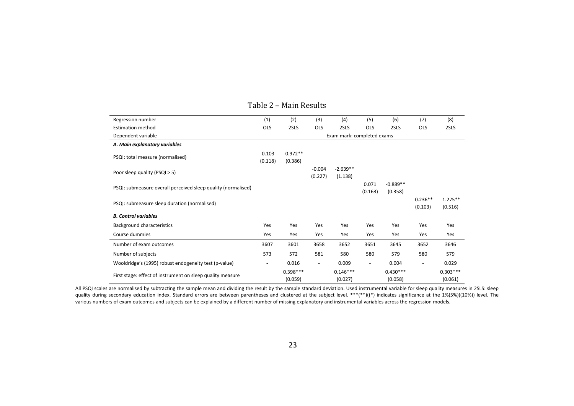| Regression number                                             | (1)                 | (2)                   | (3)                      | (4)                        | (5)                      | (6)                   | (7)                      | (8)                   |
|---------------------------------------------------------------|---------------------|-----------------------|--------------------------|----------------------------|--------------------------|-----------------------|--------------------------|-----------------------|
| <b>Estimation method</b>                                      | <b>OLS</b>          | 2SLS                  | <b>OLS</b>               | 2SLS                       | <b>OLS</b>               | 2SLS                  | <b>OLS</b>               | 2SLS                  |
| Dependent variable                                            |                     |                       |                          | Exam mark: completed exams |                          |                       |                          |                       |
| A. Main explanatory variables                                 |                     |                       |                          |                            |                          |                       |                          |                       |
| PSQI: total measure (normalised)                              | $-0.103$<br>(0.118) | $-0.972**$<br>(0.386) |                          |                            |                          |                       |                          |                       |
| Poor sleep quality (PSQI > 5)                                 |                     |                       | $-0.004$<br>(0.227)      | $-2.639**$<br>(1.138)      |                          |                       |                          |                       |
| PSQI: submeasure overall perceived sleep quality (normalised) |                     |                       |                          |                            | 0.071<br>(0.163)         | $-0.889**$<br>(0.358) |                          |                       |
| PSQI: submeasure sleep duration (normalised)                  |                     |                       |                          |                            |                          |                       | $-0.236**$<br>(0.103)    | $-1.275**$<br>(0.516) |
| <b>B. Control variables</b>                                   |                     |                       |                          |                            |                          |                       |                          |                       |
| Background characteristics                                    | Yes                 | Yes                   | Yes                      | Yes                        | Yes                      | Yes                   | Yes                      | Yes                   |
| Course dummies                                                | Yes                 | Yes                   | Yes                      | Yes                        | Yes                      | Yes                   | Yes                      | Yes                   |
| Number of exam outcomes                                       | 3607                | 3601                  | 3658                     | 3652                       | 3651                     | 3645                  | 3652                     | 3646                  |
| Number of subjects                                            | 573                 | 572                   | 581                      | 580                        | 580                      | 579                   | 580                      | 579                   |
| Wooldridge's (1995) robust endogeneity test (p-value)         |                     | 0.016                 | $\overline{\phantom{a}}$ | 0.009                      | $\overline{\phantom{a}}$ | 0.004                 | $\overline{\phantom{a}}$ | 0.029                 |
| First stage: effect of instrument on sleep quality measure    |                     | $0.398***$<br>(0.059) |                          | $0.146***$<br>(0.027)      |                          | $0.430***$<br>(0.058) |                          | $0.303***$<br>(0.061) |

#### Table 2 – Main Results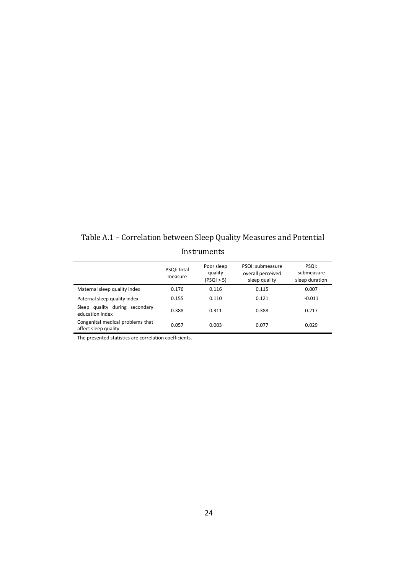Table A.1 – Correlation between Sleep Quality Measures and Potential Instruments

|                                                          | PSQI: total<br>measure | Poor sleep<br>quality<br>(PSQI > 5) | PSQI: submeasure<br>overall perceived<br>sleep quality | PSQI:<br>submeasure<br>sleep duration |
|----------------------------------------------------------|------------------------|-------------------------------------|--------------------------------------------------------|---------------------------------------|
| Maternal sleep quality index                             | 0.176                  | 0.116                               | 0.115                                                  | 0.007                                 |
| Paternal sleep quality index                             | 0.155                  | 0.110                               | 0.121                                                  | $-0.011$                              |
| Sleep quality during secondary<br>education index        | 0.388                  | 0.311                               | 0.388                                                  | 0.217                                 |
| Congenital medical problems that<br>affect sleep quality | 0.057                  | 0.003                               | 0.077                                                  | 0.029                                 |

The presented statistics are correlation coefficients.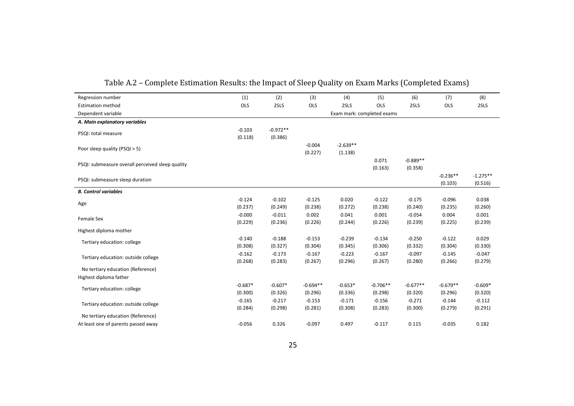| Regression number                                | (1)                  | (2)                   | (3)                   | (4)                   | (5)                        | (6)                   | (7)                   | (8)                   |
|--------------------------------------------------|----------------------|-----------------------|-----------------------|-----------------------|----------------------------|-----------------------|-----------------------|-----------------------|
| <b>Estimation method</b>                         | OLS                  | 2SLS                  | OLS                   | 2SLS                  | OLS                        | 2SLS                  | OLS                   | 2SLS                  |
| Dependent variable                               |                      |                       |                       |                       | Exam mark: completed exams |                       |                       |                       |
| A. Main explanatory variables                    |                      |                       |                       |                       |                            |                       |                       |                       |
| PSQI: total measure                              | $-0.103$<br>(0.118)  | $-0.972**$<br>(0.386) |                       |                       |                            |                       |                       |                       |
| Poor sleep quality (PSQI > 5)                    |                      |                       | $-0.004$<br>(0.227)   | $-2.639**$<br>(1.138) |                            |                       |                       |                       |
| PSQI: submeasure overall perceived sleep quality |                      |                       |                       |                       | 0.071<br>(0.163)           | $-0.889**$<br>(0.358) |                       |                       |
| PSQI: submeasure sleep duration                  |                      |                       |                       |                       |                            |                       | $-0.236**$<br>(0.103) | $-1.275**$<br>(0.516) |
| <b>B. Control variables</b>                      |                      |                       |                       |                       |                            |                       |                       |                       |
| Age                                              | $-0.124$<br>(0.237)  | $-0.102$<br>(0.249)   | $-0.125$<br>(0.238)   | 0.020<br>(0.272)      | $-0.122$<br>(0.238)        | $-0.175$<br>(0.240)   | $-0.096$<br>(0.235)   | 0.038<br>(0.260)      |
| Female Sex                                       | $-0.000$<br>(0.229)  | $-0.011$<br>(0.236)   | 0.002<br>(0.226)      | 0.041<br>(0.244)      | 0.001<br>(0.226)           | $-0.054$<br>(0.239)   | 0.004<br>(0.225)      | 0.001<br>(0.239)      |
| Highest diploma mother                           |                      |                       |                       |                       |                            |                       |                       |                       |
| Tertiary education: college                      | $-0.140$<br>(0.308)  | $-0.188$<br>(0.327)   | $-0.153$<br>(0.304)   | $-0.239$<br>(0.345)   | $-0.134$<br>(0.306)        | $-0.250$<br>(0.332)   | $-0.122$<br>(0.304)   | 0.029<br>(0.330)      |
| Tertiary education: outside college              | $-0.162$<br>(0.268)  | $-0.173$<br>(0.283)   | $-0.167$<br>(0.267)   | $-0.223$<br>(0.296)   | $-0.167$<br>(0.267)        | $-0.097$<br>(0.280)   | $-0.145$<br>(0.266)   | $-0.047$<br>(0.279)   |
| No tertiary education (Reference)                |                      |                       |                       |                       |                            |                       |                       |                       |
| Highest diploma father                           |                      |                       |                       |                       |                            |                       |                       |                       |
| Tertiary education: college                      | $-0.687*$<br>(0.300) | $-0.607*$<br>(0.326)  | $-0.694**$<br>(0.296) | $-0.653*$<br>(0.336)  | $-0.706**$<br>(0.298)      | $-0.677**$<br>(0.320) | $-0.679**$<br>(0.296) | $-0.609*$<br>(0.320)  |
| Tertiary education: outside college              | $-0.165$<br>(0.284)  | $-0.217$<br>(0.298)   | $-0.153$<br>(0.281)   | $-0.171$<br>(0.308)   | $-0.156$<br>(0.283)        | $-0.271$<br>(0.300)   | $-0.144$<br>(0.279)   | $-0.112$<br>(0.291)   |
| No tertiary education (Reference)                |                      |                       |                       |                       |                            |                       |                       |                       |
| At least one of parents passed away              | $-0.056$             | 0.326                 | $-0.097$              | 0.497                 | $-0.117$                   | 0.115                 | $-0.035$              | 0.182                 |

Table A.2 – Complete Estimation Results: the Impact of Sleep Quality on Exam Marks (Completed Exams)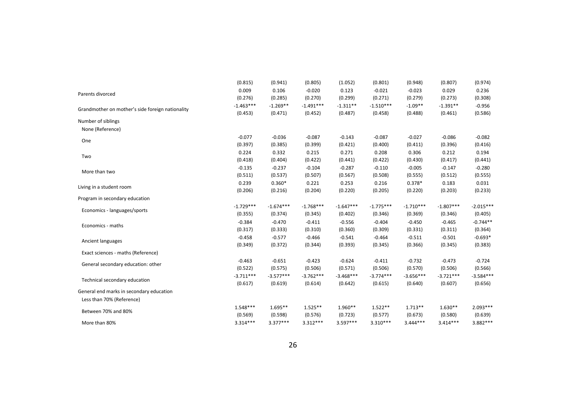|                                                                       | (0.815)     | (0.941)     | (0.805)     | (1.052)     | (0.801)     | (0.948)     | (0.807)     | (0.974)     |
|-----------------------------------------------------------------------|-------------|-------------|-------------|-------------|-------------|-------------|-------------|-------------|
|                                                                       | 0.009       | 0.106       | $-0.020$    | 0.123       | $-0.021$    | $-0.023$    | 0.029       | 0.236       |
| Parents divorced                                                      | (0.276)     | (0.285)     | (0.270)     | (0.299)     | (0.271)     | (0.279)     | (0.273)     | (0.308)     |
| Grandmother on mother's side foreign nationality                      | $-1.463***$ | $-1.269**$  | $-1.491***$ | $-1.311**$  | $-1.510***$ | $-1.09**$   | $-1.391**$  | $-0.956$    |
|                                                                       | (0.453)     | (0.471)     | (0.452)     | (0.487)     | (0.458)     | (0.488)     | (0.461)     | (0.586)     |
| Number of siblings                                                    |             |             |             |             |             |             |             |             |
| None (Reference)                                                      |             |             |             |             |             |             |             |             |
| One                                                                   | $-0.077$    | $-0.036$    | $-0.087$    | $-0.143$    | $-0.087$    | $-0.027$    | $-0.086$    | $-0.082$    |
|                                                                       | (0.397)     | (0.385)     | (0.399)     | (0.421)     | (0.400)     | (0.411)     | (0.396)     | (0.416)     |
| Two                                                                   | 0.224       | 0.332       | 0.215       | 0.271       | 0.208       | 0.306       | 0.212       | 0.194       |
|                                                                       | (0.418)     | (0.404)     | (0.422)     | (0.441)     | (0.422)     | (0.430)     | (0.417)     | (0.441)     |
| More than two                                                         | $-0.135$    | $-0.237$    | $-0.104$    | $-0.287$    | $-0.110$    | $-0.005$    | $-0.147$    | $-0.280$    |
|                                                                       | (0.511)     | (0.537)     | (0.507)     | (0.567)     | (0.508)     | (0.555)     | (0.512)     | (0.555)     |
| Living in a student room                                              | 0.239       | $0.360*$    | 0.221       | 0.253       | 0.216       | $0.378*$    | 0.183       | 0.031       |
|                                                                       | (0.206)     | (0.216)     | (0.204)     | (0.220)     | (0.205)     | (0.220)     | (0.203)     | (0.233)     |
| Program in secondary education                                        |             |             |             |             |             |             |             |             |
| Economics - languages/sports                                          | $-1.729***$ | $-1.674***$ | $-1.768***$ | $-1.647***$ | $-1.775***$ | $-1.710***$ | $-1.807***$ | $-2.015***$ |
|                                                                       | (0.355)     | (0.374)     | (0.345)     | (0.402)     | (0.346)     | (0.369)     | (0.346)     | (0.405)     |
| Economics - maths                                                     | $-0.384$    | $-0.470$    | $-0.411$    | $-0.556$    | $-0.404$    | $-0.450$    | $-0.465$    | $-0.744**$  |
|                                                                       | (0.317)     | (0.333)     | (0.310)     | (0.360)     | (0.309)     | (0.331)     | (0.311)     | (0.364)     |
| Ancient languages                                                     | $-0.458$    | $-0.577$    | $-0.466$    | $-0.541$    | $-0.464$    | $-0.511$    | $-0.501$    | $-0.693*$   |
|                                                                       | (0.349)     | (0.372)     | (0.344)     | (0.393)     | (0.345)     | (0.366)     | (0.345)     | (0.383)     |
| Exact sciences - maths (Reference)                                    |             |             |             |             |             |             |             |             |
| General secondary education: other                                    | $-0.463$    | $-0.651$    | $-0.423$    | $-0.624$    | $-0.411$    | $-0.732$    | $-0.473$    | $-0.724$    |
|                                                                       | (0.522)     | (0.575)     | (0.506)     | (0.571)     | (0.506)     | (0.570)     | (0.506)     | (0.566)     |
| Technical secondary education                                         | $-3.711***$ | $-3.577***$ | $-3.762***$ | $-3.468***$ | $-3.774***$ | $-3.656***$ | $-3.721***$ | $-3.584***$ |
|                                                                       | (0.617)     | (0.619)     | (0.614)     | (0.642)     | (0.615)     | (0.640)     | (0.607)     | (0.656)     |
| General end marks in secondary education<br>Less than 70% (Reference) |             |             |             |             |             |             |             |             |
| Between 70% and 80%                                                   | 1.548***    | $1.695**$   | $1.525**$   | 1.960**     | $1.522**$   | $1.713**$   | $1.630**$   | $2.093***$  |
|                                                                       | (0.569)     | (0.598)     | (0.576)     | (0.723)     | (0.577)     | (0.673)     | (0.580)     | (0.639)     |
| More than 80%                                                         | $3.314***$  | $3.377***$  | $3.312***$  | $3.597***$  | $3.310***$  | $3.444***$  | $3.414***$  | 3.882***    |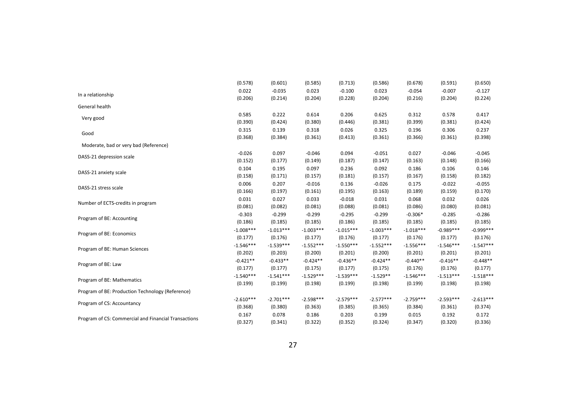|                                                      | (0.578)     | (0.601)     | (0.585)     | (0.713)     | (0.586)     | (0.678)     | (0.591)     | (0.650)     |
|------------------------------------------------------|-------------|-------------|-------------|-------------|-------------|-------------|-------------|-------------|
|                                                      | 0.022       | $-0.035$    | 0.023       | $-0.100$    | 0.023       | $-0.054$    | $-0.007$    | $-0.127$    |
| In a relationship                                    | (0.206)     | (0.214)     | (0.204)     | (0.228)     | (0.204)     | (0.216)     | (0.204)     | (0.224)     |
| General health                                       |             |             |             |             |             |             |             |             |
|                                                      | 0.585       | 0.222       | 0.614       | 0.206       | 0.625       | 0.312       | 0.578       | 0.417       |
| Very good                                            | (0.390)     | (0.424)     | (0.380)     | (0.446)     | (0.381)     | (0.399)     | (0.381)     | (0.424)     |
|                                                      | 0.315       | 0.139       | 0.318       | 0.026       | 0.325       | 0.196       | 0.306       | 0.237       |
| Good                                                 | (0.368)     | (0.384)     | (0.361)     | (0.413)     | (0.361)     | (0.366)     | (0.361)     | (0.398)     |
| Moderate, bad or very bad (Reference)                |             |             |             |             |             |             |             |             |
|                                                      | $-0.026$    | 0.097       | $-0.046$    | 0.094       | $-0.051$    | 0.027       | $-0.046$    | $-0.045$    |
| DASS-21 depression scale                             | (0.152)     | (0.177)     | (0.149)     | (0.187)     | (0.147)     | (0.163)     | (0.148)     | (0.166)     |
|                                                      | 0.104       | 0.195       | 0.097       | 0.236       | 0.092       | 0.186       | 0.106       | 0.146       |
| DASS-21 anxiety scale                                | (0.158)     | (0.171)     | (0.157)     | (0.181)     | (0.157)     | (0.167)     | (0.158)     | (0.182)     |
|                                                      | 0.006       | 0.207       | $-0.016$    | 0.136       | $-0.026$    | 0.175       | $-0.022$    | $-0.055$    |
| DASS-21 stress scale                                 | (0.166)     | (0.197)     | (0.161)     | (0.195)     | (0.163)     | (0.189)     | (0.159)     | (0.170)     |
|                                                      | 0.031       | 0.027       | 0.033       | $-0.018$    | 0.031       | 0.068       | 0.032       | 0.026       |
| Number of ECTS-credits in program                    | (0.081)     | (0.082)     | (0.081)     | (0.088)     | (0.081)     | (0.086)     | (0.080)     | (0.081)     |
|                                                      | $-0.303$    | $-0.299$    | $-0.299$    | $-0.295$    | $-0.299$    | $-0.306*$   | $-0.285$    | $-0.286$    |
| Program of BE: Accounting                            | (0.186)     | (0.185)     | (0.185)     | (0.186)     | (0.185)     | (0.185)     | (0.185)     | (0.185)     |
|                                                      | $-1.008***$ | $-1.013***$ | $-1.003***$ | $-1.015***$ | $-1.003***$ | $-1.018***$ | $-0.989***$ | $-0.999***$ |
| Program of BE: Economics                             | (0.177)     | (0.176)     | (0.177)     | (0.176)     | (0.177)     | (0.176)     | (0.177)     | (0.176)     |
|                                                      | $-1.546***$ | $-1.539***$ | $-1.552***$ | $-1.550***$ | $-1.552***$ | $-1.556***$ | $-1.546***$ | $-1.547***$ |
| Program of BE: Human Sciences                        | (0.202)     | (0.203)     | (0.200)     | (0.201)     | (0.200)     | (0.201)     | (0.201)     | (0.201)     |
|                                                      | $-0.421**$  | $-0.433**$  | $-0.424**$  | $-0.436**$  | $-0.424**$  | $-0.440**$  | $-0.416**$  | $-0.448**$  |
| Program of BE: Law                                   | (0.177)     | (0.177)     | (0.175)     | (0.177)     | (0.175)     | (0.176)     | (0.176)     | (0.177)     |
|                                                      | $-1.540***$ | $-1.541***$ | $-1.529***$ | $-1.539***$ | $-1.529**$  | $-1.546***$ | $-1.513***$ | $-1.518***$ |
| Program of BE: Mathematics                           | (0.199)     | (0.199)     | (0.198)     | (0.199)     | (0.198)     | (0.199)     | (0.198)     | (0.198)     |
| Program of BE: Production Technology (Reference)     |             |             |             |             |             |             |             |             |
|                                                      | $-2.610***$ | $-2.701***$ | $-2.598***$ | $-2.579***$ | $-2.577***$ | $-2.759***$ | $-2.593***$ | $-2.613***$ |
| Program of CS: Accountancy                           | (0.368)     | (0.380)     | (0.363)     | (0.385)     | (0.365)     | (0.384)     | (0.361)     | (0.374)     |
|                                                      | 0.167       | 0.078       | 0.186       | 0.203       | 0.199       | 0.015       | 0.192       | 0.172       |
| Program of CS: Commercial and Financial Transactions | (0.327)     | (0.341)     | (0.322)     | (0.352)     | (0.324)     | (0.347)     | (0.320)     | (0.336)     |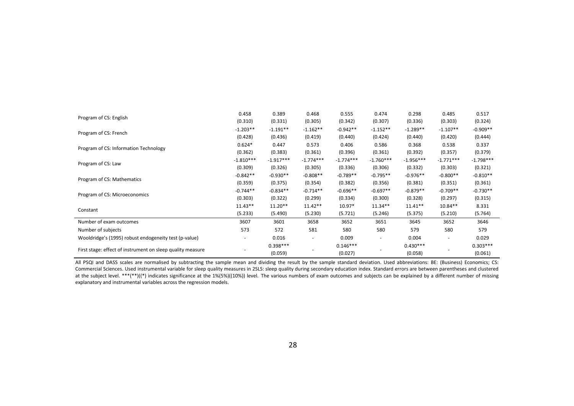|                                                            | 0.458                    | 0.389       | 0.468                    | 0.555       | 0.474       | 0.298       | 0.485       | 0.517       |
|------------------------------------------------------------|--------------------------|-------------|--------------------------|-------------|-------------|-------------|-------------|-------------|
| Program of CS: English                                     | (0.310)                  | (0.331)     | (0.305)                  | (0.342)     | (0.307)     | (0.336)     | (0.303)     | (0.324)     |
|                                                            | $-1.203**$               | $-1.191**$  | $-1.162**$               | $-0.942**$  | $-1.152**$  | $-1.289**$  | $-1.107**$  | $-0.909**$  |
| Program of CS: French                                      | (0.428)                  | (0.436)     | (0.419)                  | (0.440)     | (0.424)     | (0.440)     | (0.420)     | (0.444)     |
|                                                            | $0.624*$                 | 0.447       | 0.573                    | 0.406       | 0.586       | 0.368       | 0.538       | 0.337       |
| Program of CS: Information Technology                      | (0.362)                  | (0.383)     | (0.361)                  | (0.396)     | (0.361)     | (0.392)     | (0.357)     | (0.379)     |
|                                                            | $-1.810***$              | $-1.917***$ | $-1.774***$              | $-1.774***$ | $-1.760***$ | $-1.956***$ | $-1.771***$ | $-1.798***$ |
| Program of CS: Law                                         | (0.309)                  | (0.326)     | (0.305)                  | (0.336)     | (0.306)     | (0.332)     | (0.303)     | (0.321)     |
| Program of CS: Mathematics                                 | $-0.842**$               | $-0.930**$  | $-0.808**$               | $-0.789**$  | $-0.795**$  | $-0.976**$  | $-0.800**$  | $-0.810**$  |
|                                                            | (0.359)                  | (0.375)     | (0.354)                  | (0.382)     | (0.356)     | (0.381)     | (0.351)     | (0.361)     |
| Program of CS: Microeconomics                              | $-0.744**$               | $-0.834**$  | $-0.714**$               | $-0.696**$  | $-0.697**$  | $-0.879**$  | $-0.709**$  | $-0.730**$  |
|                                                            | (0.303)                  | (0.322)     | (0.299)                  | (0.334)     | (0.300)     | (0.328)     | (0.297)     | (0.315)     |
| Constant                                                   | $11.43**$                | $11.20**$   | $11.42**$                | 10.97*      | $11.34**$   | $11.41**$   | $10.84**$   | 8.331       |
|                                                            | (5.233)                  | (5.490)     | (5.230)                  | (5.721)     | (5.246)     | (5.375)     | (5.210)     | (5.764)     |
| Number of exam outcomes                                    | 3607                     | 3601        | 3658                     | 3652        | 3651        | 3645        | 3652        | 3646        |
| Number of subjects                                         | 573                      | 572         | 581                      | 580         | 580         | 579         | 580         | 579         |
| Wooldridge's (1995) robust endogeneity test (p-value)      | $\overline{\phantom{m}}$ | 0.016       | $\overline{\phantom{a}}$ | 0.009       |             | 0.004       |             | 0.029       |
|                                                            |                          | $0.398***$  |                          | $0.146***$  |             | $0.430***$  |             | $0.303***$  |
| First stage: effect of instrument on sleep quality measure |                          | (0.059)     |                          | (0.027)     |             | (0.058)     |             | (0.061)     |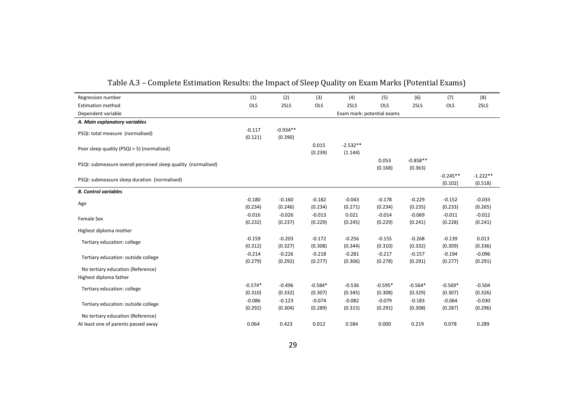| Regression number                                             | (1)                  | (2)                   | (3)                  | (4)                        | (5)                  | (6)                   | (7)                   | (8)                   |
|---------------------------------------------------------------|----------------------|-----------------------|----------------------|----------------------------|----------------------|-----------------------|-----------------------|-----------------------|
| <b>Estimation method</b>                                      | OLS                  | 2SLS                  | OLS                  | 2SLS                       | OLS                  | 2SLS                  | OLS                   | 2SLS                  |
| Dependent variable                                            |                      |                       |                      | Exam mark: potential exams |                      |                       |                       |                       |
| A. Main explanatory variables                                 |                      |                       |                      |                            |                      |                       |                       |                       |
| PSQI: total measure (normalised)                              | $-0.117$<br>(0.121)  | $-0.934**$<br>(0.390) |                      |                            |                      |                       |                       |                       |
| Poor sleep quality (PSQI > 5) (normalised)                    |                      |                       | 0.015<br>(0.239)     | $-2.532**$<br>(1.144)      |                      |                       |                       |                       |
| PSQI: submeasure overall perceived sleep quality (normalised) |                      |                       |                      |                            | 0.053<br>(0.168)     | $-0.858**$<br>(0.363) |                       |                       |
| PSQI: submeasure sleep duration (normalised)                  |                      |                       |                      |                            |                      |                       | $-0.245**$<br>(0.102) | $-1.222**$<br>(0.518) |
| <b>B. Control variables</b>                                   |                      |                       |                      |                            |                      |                       |                       |                       |
| Age                                                           | $-0.180$<br>(0.234)  | $-0.160$<br>(0.246)   | $-0.182$<br>(0.234)  | $-0.043$<br>(0.271)        | $-0.178$<br>(0.234)  | $-0.229$<br>(0.235)   | $-0.152$<br>(0.233)   | $-0.033$<br>(0.265)   |
| Female Sex                                                    | $-0.016$<br>(0.232)  | $-0.026$<br>(0.237)   | $-0.013$<br>(0.229)  | 0.021<br>(0.245)           | $-0.014$<br>(0.229)  | $-0.069$<br>(0.241)   | $-0.011$<br>(0.228)   | $-0.012$<br>(0.241)   |
| Highest diploma mother                                        |                      |                       |                      |                            |                      |                       |                       |                       |
| Tertiary education: college                                   | $-0.159$<br>(0.312)  | $-0.203$<br>(0.327)   | $-0.172$<br>(0.308)  | $-0.256$<br>(0.344)        | $-0.155$<br>(0.310)  | $-0.268$<br>(0.332)   | $-0.139$<br>(0.309)   | 0.013<br>(0.336)      |
| Tertiary education: outside college                           | $-0.214$<br>(0.279)  | $-0.226$<br>(0.292)   | $-0.218$<br>(0.277)  | $-0.281$<br>(0.306)        | $-0.217$<br>(0.278)  | $-0.157$<br>(0.291)   | $-0.194$<br>(0.277)   | $-0.096$<br>(0.291)   |
| No tertiary education (Reference)                             |                      |                       |                      |                            |                      |                       |                       |                       |
| Highest diploma father                                        |                      |                       |                      |                            |                      |                       |                       |                       |
| Tertiary education: college                                   | $-0.574*$<br>(0.310) | $-0.496$<br>(0.332)   | $-0.584*$<br>(0.307) | $-0.536$<br>(0.345)        | $-0.595*$<br>(0.308) | $-0.564*$<br>(0.329)  | $-0.569*$<br>(0.307)  | $-0.504$<br>(0.326)   |
| Tertiary education: outside college                           | $-0.086$<br>(0.292)  | $-0.123$<br>(0.304)   | $-0.074$<br>(0.289)  | $-0.082$<br>(0.315)        | $-0.079$<br>(0.291)  | $-0.183$<br>(0.308)   | $-0.064$<br>(0.287)   | $-0.030$<br>(0.296)   |
| No tertiary education (Reference)                             |                      |                       |                      |                            |                      |                       |                       |                       |
| At least one of parents passed away                           | 0.064                | 0.423                 | 0.012                | 0.584                      | 0.000                | 0.219                 | 0.078                 | 0.289                 |

Table A.3 – Complete Estimation Results: the Impact of Sleep Quality on Exam Marks (Potential Exams)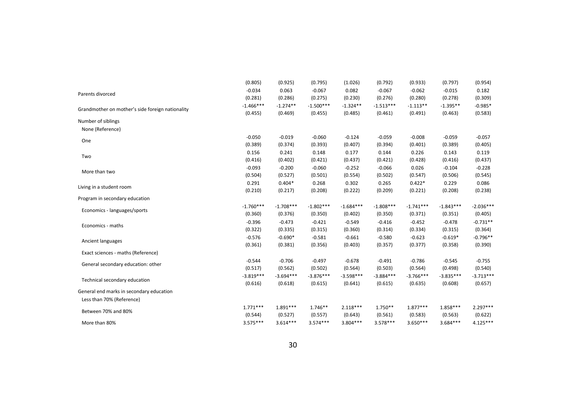|                                                  | (0.805)     | (0.925)     | (0.795)     | (1.026)     | (0.792)     | (0.933)     | (0.797)     | (0.954)     |
|--------------------------------------------------|-------------|-------------|-------------|-------------|-------------|-------------|-------------|-------------|
|                                                  | $-0.034$    | 0.063       | $-0.067$    | 0.082       | $-0.067$    | $-0.062$    | $-0.015$    | 0.182       |
| Parents divorced                                 | (0.281)     | (0.286)     | (0.275)     | (0.230)     | (0.276)     | (0.280)     | (0.278)     | (0.309)     |
| Grandmother on mother's side foreign nationality | $-1.466***$ | $-1.274**$  | $-1.500***$ | $-1.324**$  | $-1.513***$ | $-1.113**$  | $-1.395**$  | $-0.985*$   |
|                                                  | (0.455)     | (0.469)     | (0.455)     | (0.485)     | (0.461)     | (0.491)     | (0.463)     | (0.583)     |
| Number of siblings                               |             |             |             |             |             |             |             |             |
| None (Reference)                                 |             |             |             |             |             |             |             |             |
| One                                              | $-0.050$    | $-0.019$    | $-0.060$    | $-0.124$    | $-0.059$    | $-0.008$    | $-0.059$    | $-0.057$    |
|                                                  | (0.389)     | (0.374)     | (0.393)     | (0.407)     | (0.394)     | (0.401)     | (0.389)     | (0.405)     |
| Two                                              | 0.156       | 0.241       | 0.148       | 0.177       | 0.144       | 0.226       | 0.143       | 0.119       |
|                                                  | (0.416)     | (0.402)     | (0.421)     | (0.437)     | (0.421)     | (0.428)     | (0.416)     | (0.437)     |
| More than two                                    | $-0.093$    | $-0.200$    | $-0.060$    | $-0.252$    | $-0.066$    | 0.026       | $-0.104$    | $-0.228$    |
|                                                  | (0.504)     | (0.527)     | (0.501)     | (0.554)     | (0.502)     | (0.547)     | (0.506)     | (0.545)     |
| Living in a student room                         | 0.291       | $0.404*$    | 0.268       | 0.302       | 0.265       | $0.422*$    | 0.229       | 0.086       |
|                                                  | (0.210)     | (0.217)     | (0.208)     | (0.222)     | (0.209)     | (0.221)     | (0.208)     | (0.238)     |
| Program in secondary education                   |             |             |             |             |             |             |             |             |
| Economics - languages/sports                     | $-1.760***$ | $-1.708***$ | $-1.802***$ | $-1.684***$ | $-1.808***$ | $-1.741***$ | $-1.843***$ | $-2.036***$ |
|                                                  | (0.360)     | (0.376)     | (0.350)     | (0.402)     | (0.350)     | (0.371)     | (0.351)     | (0.405)     |
| Economics - maths                                | $-0.396$    | $-0.473$    | $-0.421$    | $-0.549$    | $-0.416$    | $-0.452$    | $-0.478$    | $-0.731**$  |
|                                                  | (0.322)     | (0.335)     | (0.315)     | (0.360)     | (0.314)     | (0.334)     | (0.315)     | (0.364)     |
| Ancient languages                                | $-0.576$    | $-0.690*$   | $-0.581$    | $-0.661$    | $-0.580$    | $-0.623$    | $-0.619*$   | $-0.796**$  |
|                                                  | (0.361)     | (0.381)     | (0.356)     | (0.403)     | (0.357)     | (0.377)     | (0.358)     | (0.390)     |
| Exact sciences - maths (Reference)               |             |             |             |             |             |             |             |             |
| General secondary education: other               | $-0.544$    | $-0.706$    | $-0.497$    | $-0.678$    | $-0.491$    | $-0.786$    | $-0.545$    | $-0.755$    |
|                                                  | (0.517)     | (0.562)     | (0.502)     | (0.564)     | (0.503)     | (0.564)     | (0.498)     | (0.540)     |
| Technical secondary education                    | $-3.819***$ | $-3.694***$ | $-3.876***$ | $-3.598***$ | $-3.884***$ | $-3.766***$ | $-3.835***$ | $-3.713***$ |
|                                                  | (0.616)     | (0.618)     | (0.615)     | (0.641)     | (0.615)     | (0.635)     | (0.608)     | (0.657)     |
| General end marks in secondary education         |             |             |             |             |             |             |             |             |
| Less than 70% (Reference)                        |             |             |             |             |             |             |             |             |
| Between 70% and 80%                              | $1.771***$  | $1.891***$  | $1.746**$   | $2.118***$  | $1.750**$   | $1.877***$  | 1.858***    | $2.297***$  |
|                                                  | (0.544)     | (0.527)     | (0.557)     | (0.643)     | (0.561)     | (0.583)     | (0.563)     | (0.622)     |
| More than 80%                                    | $3.575***$  | $3.614***$  | $3.574***$  | $3.804***$  | $3.578***$  | $3.650***$  | $3.684***$  | $4.125***$  |

30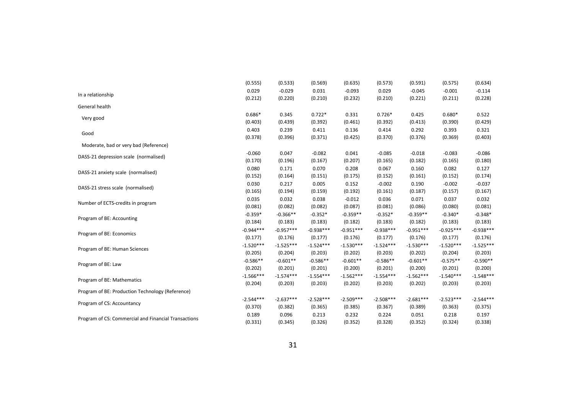|                                                      | (0.555)     | (0.533)     | (0.569)     | (0.635)     | (0.573)     | (0.591)     | (0.575)     | (0.634)     |
|------------------------------------------------------|-------------|-------------|-------------|-------------|-------------|-------------|-------------|-------------|
|                                                      | 0.029       | $-0.029$    | 0.031       | $-0.093$    | 0.029       | $-0.045$    | $-0.001$    | $-0.114$    |
| In a relationship                                    | (0.212)     | (0.220)     | (0.210)     | (0.232)     | (0.210)     | (0.221)     | (0.211)     | (0.228)     |
| General health                                       |             |             |             |             |             |             |             |             |
|                                                      | $0.686*$    | 0.345       | $0.722*$    | 0.331       | $0.726*$    | 0.425       | $0.680*$    | 0.522       |
| Very good                                            | (0.403)     | (0.439)     | (0.392)     | (0.461)     | (0.392)     | (0.413)     | (0.390)     | (0.429)     |
| Good                                                 | 0.403       | 0.239       | 0.411       | 0.136       | 0.414       | 0.292       | 0.393       | 0.321       |
|                                                      | (0.378)     | (0.396)     | (0.371)     | (0.425)     | (0.370)     | (0.376)     | (0.369)     | (0.403)     |
| Moderate, bad or very bad (Reference)                |             |             |             |             |             |             |             |             |
| DASS-21 depression scale (normalised)                | $-0.060$    | 0.047       | $-0.082$    | 0.041       | $-0.085$    | $-0.018$    | $-0.083$    | $-0.086$    |
|                                                      | (0.170)     | (0.196)     | (0.167)     | (0.207)     | (0.165)     | (0.182)     | (0.165)     | (0.180)     |
| DASS-21 anxiety scale (normalised)                   | 0.080       | 0.171       | 0.070       | 0.208       | 0.067       | 0.160       | 0.082       | 0.127       |
|                                                      | (0.152)     | (0.164)     | (0.151)     | (0.175)     | (0.152)     | (0.161)     | (0.152)     | (0.174)     |
| DASS-21 stress scale (normalised)                    | 0.030       | 0.217       | 0.005       | 0.152       | $-0.002$    | 0.190       | $-0.002$    | $-0.037$    |
|                                                      | (0.165)     | (0.194)     | (0.159)     | (0.192)     | (0.161)     | (0.187)     | (0.157)     | (0.167)     |
| Number of ECTS-credits in program                    | 0.035       | 0.032       | 0.038       | $-0.012$    | 0.036       | 0.071       | 0.037       | 0.032       |
|                                                      | (0.081)     | (0.082)     | (0.082)     | (0.087)     | (0.081)     | (0.086)     | (0.080)     | (0.081)     |
|                                                      | $-0.359*$   | $-0.366**$  | $-0.352*$   | $-0.359**$  | $-0.352*$   | $-0.359**$  | $-0.340*$   | $-0.348*$   |
| Program of BE: Accounting                            | (0.184)     | (0.183)     | (0.183)     | (0.182)     | (0.183)     | (0.182)     | (0.183)     | (0.183)     |
|                                                      | $-0.944***$ | $-0.957***$ | $-0.938***$ | $-0.951***$ | $-0.938***$ | $-0.951***$ | $-0.925***$ | $-0.938***$ |
| Program of BE: Economics                             | (0.177)     | (0.176)     | (0.177)     | (0.176)     | (0.177)     | (0.176)     | (0.177)     | (0.176)     |
| Program of BE: Human Sciences                        | $-1.520***$ | $-1.525***$ | $-1.524***$ | $-1.530***$ | $-1.524***$ | $-1.530***$ | $-1.520***$ | $-1.525***$ |
|                                                      | (0.205)     | (0.204)     | (0.203)     | (0.202)     | (0.203)     | (0.202)     | (0.204)     | (0.203)     |
| Program of BE: Law                                   | $-0.586**$  | $-0.601**$  | $-0.586**$  | $-0.601**$  | $-0.586**$  | $-0.601**$  | $-0.575**$  | $-0.590**$  |
|                                                      | (0.202)     | (0.201)     | (0.201)     | (0.200)     | (0.201)     | (0.200)     | (0.201)     | (0.200)     |
| Program of BE: Mathematics                           | $-1.566***$ | $-1.574***$ | $-1.554***$ | $-1.562***$ | $-1.554***$ | $-1.562***$ | $-1.540***$ | $-1.548***$ |
|                                                      | (0.204)     | (0.203)     | (0.203)     | (0.202)     | (0.203)     | (0.202)     | (0.203)     | (0.203)     |
| Program of BE: Production Technology (Reference)     |             |             |             |             |             |             |             |             |
|                                                      | $-2.544***$ | $-2.637***$ | $-2.528***$ | $-2.509***$ | $-2.508***$ | $-2.681***$ | $-2.523***$ | $-2.544***$ |
| Program of CS: Accountancy                           | (0.370)     | (0.382)     | (0.365)     | (0.385)     | (0.367)     | (0.389)     | (0.363)     | (0.375)     |
|                                                      | 0.189       | 0.096       | 0.213       | 0.232       | 0.224       | 0.051       | 0.218       | 0.197       |
| Program of CS: Commercial and Financial Transactions | (0.331)     | (0.345)     | (0.326)     | (0.352)     | (0.328)     | (0.352)     | (0.324)     | (0.338)     |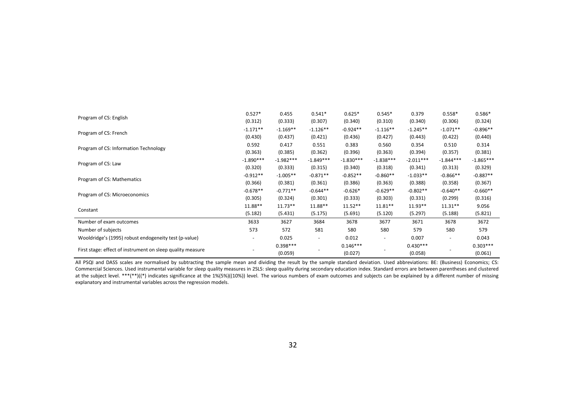| Program of CS: English                                     | $0.527*$                     | 0.455       | $0.541*$                 | $0.625*$    | $0.545*$    | 0.379       | $0.558*$    | $0.586*$    |
|------------------------------------------------------------|------------------------------|-------------|--------------------------|-------------|-------------|-------------|-------------|-------------|
|                                                            | (0.312)                      | (0.333)     | (0.307)                  | (0.340)     | (0.310)     | (0.340)     | (0.306)     | (0.324)     |
|                                                            | $-1.171**$                   | $-1.169**$  | $-1.126**$               | $-0.924**$  | $-1.116**$  | $-1.245**$  | $-1.071**$  | $-0.896**$  |
| Program of CS: French                                      | (0.430)                      | (0.437)     | (0.421)                  | (0.436)     | (0.427)     | (0.443)     | (0.422)     | (0.440)     |
|                                                            | 0.592                        | 0.417       | 0.551                    | 0.383       | 0.560       | 0.354       | 0.510       | 0.314       |
| Program of CS: Information Technology                      | (0.363)                      | (0.385)     | (0.362)                  | (0.396)     | (0.363)     | (0.394)     | (0.357)     | (0.381)     |
|                                                            | $-1.890***$                  | $-1.982***$ | $-1.849***$              | $-1.830***$ | $-1.838***$ | $-2.011***$ | $-1.844***$ | $-1.865***$ |
| Program of CS: Law                                         | (0.320)                      | (0.333)     | (0.315)                  | (0.340)     | (0.318)     | (0.341)     | (0.313)     | (0.329)     |
|                                                            | $-0.912**$                   | $-1.005**$  | $-0.871**$               | $-0.852**$  | $-0.860**$  | $-1.033**$  | $-0.866**$  | $-0.887**$  |
| Program of CS: Mathematics                                 | (0.366)                      | (0.381)     | (0.361)                  | (0.386)     | (0.363)     | (0.388)     | (0.358)     | (0.367)     |
|                                                            | $-0.678**$                   | $-0.771**$  | $-0.644**$               | $-0.626*$   | $-0.629**$  | $-0.802**$  | $-0.640**$  | $-0.660**$  |
| Program of CS: Microeconomics                              | (0.305)                      | (0.324)     | (0.301)                  | (0.333)     | (0.303)     | (0.331)     | (0.299)     | (0.316)     |
|                                                            | 11.88**                      | $11.73**$   | 11.88**                  | $11.52**$   | $11.81**$   | $11.93**$   | $11.31**$   | 9.056       |
| Constant                                                   | (5.182)                      | (5.431)     | (5.175)                  | (5.691)     | (5.120)     | (5.297)     | (5.188)     | (5.821)     |
| Number of exam outcomes                                    | 3633                         | 3627        | 3684                     | 3678        | 3677        | 3671        | 3678        | 3672        |
| Number of subjects                                         | 573                          | 572         | 581                      | 580         | 580         | 579         | 580         | 579         |
| Wooldridge's (1995) robust endogeneity test (p-value)      | $\qquad \qquad \blacksquare$ | 0.025       | $\overline{\phantom{a}}$ | 0.012       |             | 0.007       | ٠           | 0.043       |
|                                                            |                              | $0.398***$  |                          | $0.146***$  |             | $0.430***$  |             | $0.303***$  |
| First stage: effect of instrument on sleep quality measure |                              | (0.059)     |                          | (0.027)     |             | (0.058)     |             | (0.061)     |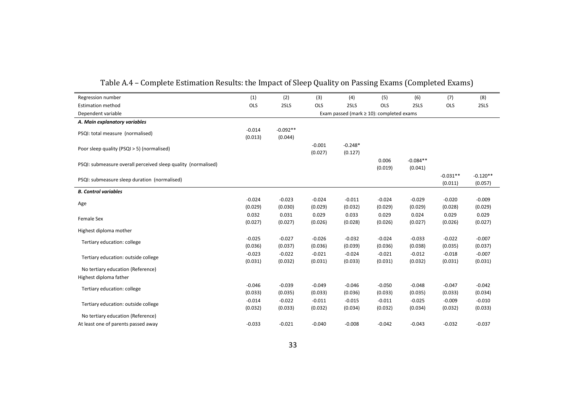| Regression number                                             | (1)                                            | (2)                   | (3)                 | (4)                  | (5)                 | (6)                   | (7)                   | (8)                   |  |
|---------------------------------------------------------------|------------------------------------------------|-----------------------|---------------------|----------------------|---------------------|-----------------------|-----------------------|-----------------------|--|
| <b>Estimation method</b>                                      | OLS                                            | 2SLS                  | OLS                 | 2SLS                 | OLS                 | 2SLS                  | OLS                   | 2SLS                  |  |
| Dependent variable                                            | Exam passed (mark $\geq 10$ ): completed exams |                       |                     |                      |                     |                       |                       |                       |  |
| A. Main explanatory variables                                 |                                                |                       |                     |                      |                     |                       |                       |                       |  |
| PSQI: total measure (normalised)                              | $-0.014$<br>(0.013)                            | $-0.092**$<br>(0.044) |                     |                      |                     |                       |                       |                       |  |
| Poor sleep quality (PSQI > 5) (normalised)                    |                                                |                       | $-0.001$<br>(0.027) | $-0.248*$<br>(0.127) |                     |                       |                       |                       |  |
| PSQI: submeasure overall perceived sleep quality (normalised) |                                                |                       |                     |                      | 0.006<br>(0.019)    | $-0.084**$<br>(0.041) |                       |                       |  |
| PSQI: submeasure sleep duration (normalised)                  |                                                |                       |                     |                      |                     |                       | $-0.031**$<br>(0.011) | $-0.120**$<br>(0.057) |  |
| <b>B. Control variables</b>                                   |                                                |                       |                     |                      |                     |                       |                       |                       |  |
| Age                                                           | $-0.024$<br>(0.029)                            | $-0.023$<br>(0.030)   | $-0.024$<br>(0.029) | $-0.011$<br>(0.032)  | $-0.024$<br>(0.029) | $-0.029$<br>(0.029)   | $-0.020$<br>(0.028)   | $-0.009$<br>(0.029)   |  |
| Female Sex                                                    | 0.032<br>(0.027)                               | 0.031<br>(0.027)      | 0.029<br>(0.026)    | 0.033<br>(0.028)     | 0.029<br>(0.026)    | 0.024<br>(0.027)      | 0.029<br>(0.026)      | 0.029<br>(0.027)      |  |
| Highest diploma mother                                        |                                                |                       |                     |                      |                     |                       |                       |                       |  |
| Tertiary education: college                                   | $-0.025$<br>(0.036)                            | $-0.027$<br>(0.037)   | $-0.026$<br>(0.036) | $-0.032$<br>(0.039)  | $-0.024$<br>(0.036) | $-0.033$<br>(0.038)   | $-0.022$<br>(0.035)   | $-0.007$<br>(0.037)   |  |
| Tertiary education: outside college                           | $-0.023$<br>(0.031)                            | $-0.022$<br>(0.032)   | $-0.021$<br>(0.031) | $-0.024$<br>(0.033)  | $-0.021$<br>(0.031) | $-0.012$<br>(0.032)   | $-0.018$<br>(0.031)   | $-0.007$<br>(0.031)   |  |
| No tertiary education (Reference)                             |                                                |                       |                     |                      |                     |                       |                       |                       |  |
| Highest diploma father                                        |                                                |                       |                     |                      |                     |                       |                       |                       |  |
| Tertiary education: college                                   | $-0.046$<br>(0.033)                            | $-0.039$<br>(0.035)   | $-0.049$<br>(0.033) | $-0.046$<br>(0.036)  | $-0.050$<br>(0.033) | $-0.048$<br>(0.035)   | $-0.047$<br>(0.033)   | $-0.042$<br>(0.034)   |  |
| Tertiary education: outside college                           | $-0.014$<br>(0.032)                            | $-0.022$<br>(0.033)   | $-0.011$<br>(0.032) | $-0.015$<br>(0.034)  | $-0.011$<br>(0.032) | $-0.025$<br>(0.034)   | $-0.009$<br>(0.032)   | $-0.010$<br>(0.033)   |  |
| No tertiary education (Reference)                             |                                                |                       |                     |                      |                     |                       |                       |                       |  |
| At least one of parents passed away                           | $-0.033$                                       | $-0.021$              | $-0.040$            | $-0.008$             | $-0.042$            | $-0.043$              | $-0.032$              | $-0.037$              |  |

Table A.4 – Complete Estimation Results: the Impact of Sleep Quality on Passing Exams (Completed Exams)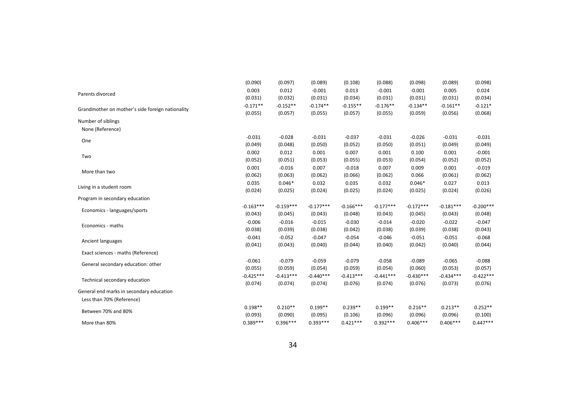| (0.090)     | (0.097)     | (0.089)     | (0.108)     | (0.088)     | (0.098)     | (0.089)     | (0.098)     |
|-------------|-------------|-------------|-------------|-------------|-------------|-------------|-------------|
| 0.003       | 0.012       | $-0.001$    | 0.013       | $-0.001$    | $-0.001$    | 0.005       | 0.024       |
| (0.031)     | (0.032)     | (0.031)     | (0.034)     | (0.031)     | (0.031)     | (0.031)     | (0.034)     |
| $-0.171**$  | $-0.152**$  | $-0.174**$  | $-0.155**$  | $-0.176**$  | $-0.134**$  | $-0.161**$  | $-0.121*$   |
| (0.055)     | (0.057)     | (0.055)     | (0.057)     | (0.055)     | (0.059)     | (0.056)     | (0.068)     |
|             |             |             |             |             |             |             |             |
|             |             |             |             |             |             |             |             |
| $-0.031$    | $-0.028$    | $-0.031$    | $-0.037$    | $-0.031$    | $-0.026$    | $-0.031$    | $-0.031$    |
| (0.049)     | (0.048)     | (0.050)     | (0.052)     | (0.050)     | (0.051)     | (0.049)     | (0.049)     |
| 0.002       | 0.012       | 0.001       | 0.007       | 0.001       | 0.100       | 0.001       | $-0.001$    |
| (0.052)     | (0.051)     | (0.053)     | (0.055)     | (0.053)     | (0.054)     | (0.052)     | (0.052)     |
| 0.001       | $-0.016$    | 0.007       | $-0.018$    | 0.007       | 0.009       | 0.001       | $-0.019$    |
| (0.062)     | (0.063)     | (0.062)     | (0.066)     | (0.062)     | 0.066       | (0.061)     | (0.062)     |
| 0.035       | $0.046*$    | 0.032       | 0.035       | 0.032       | $0.046*$    | 0.027       | 0.013       |
| (0.024)     | (0.025)     | (0.024)     | (0.025)     | (0.024)     | (0.025)     | (0.024)     | (0.026)     |
|             |             |             |             |             |             |             |             |
| $-0.163***$ | $-0.159***$ | $-0.177***$ | $-0.166***$ | $-0.177***$ | $-0.172***$ | $-0.181***$ | $-0.200***$ |
| (0.043)     | (0.045)     | (0.043)     | (0.048)     | (0.043)     | (0.045)     | (0.043)     | (0.048)     |
| $-0.006$    | $-0.016$    | $-0.015$    | $-0.030$    | $-0.014$    | $-0.020$    | $-0.022$    | $-0.047$    |
| (0.038)     | (0.039)     | (0.038)     | (0.042)     | (0.038)     | (0.039)     | (0.038)     | (0.043)     |
| $-0.041$    | $-0.052$    | $-0.047$    | $-0.054$    | $-0.046$    | $-0.051$    | $-0.051$    | $-0.068$    |
| (0.041)     | (0.043)     | (0.040)     | (0.044)     | (0.040)     | (0.042)     | (0.040)     | (0.044)     |
|             |             |             |             |             |             |             |             |
| $-0.061$    | $-0.079$    | $-0.059$    | $-0.079$    | $-0.058$    | $-0.089$    | $-0.065$    | $-0.088$    |
| (0.055)     | (0.059)     | (0.054)     | (0.059)     | (0.054)     | (0.060)     | (0.053)     | (0.057)     |
| $-0.425***$ | $-0.413***$ | $-0.440***$ | $-0.413***$ | $-0.441***$ | $-0.430***$ | $-0.434***$ | $-0.422***$ |
| (0.074)     | (0.074)     | (0.074)     | (0.076)     | (0.074)     | (0.076)     | (0.073)     | (0.076)     |
|             |             |             |             |             |             |             |             |
|             |             |             |             |             |             |             |             |
| $0.198**$   | $0.210**$   | $0.199**$   | $0.239**$   | $0.199**$   | $0.216**$   | $0.213**$   | $0.252**$   |
| (0.093)     | (0.090)     | (0.095)     | (0.106)     | (0.096)     | (0.096)     | (0.096)     | (0.100)     |
| $0.389***$  | $0.396***$  | $0.393***$  | $0.421***$  | $0.392***$  | $0.406***$  | $0.406***$  | $0.447***$  |
|             |             |             |             |             |             |             |             |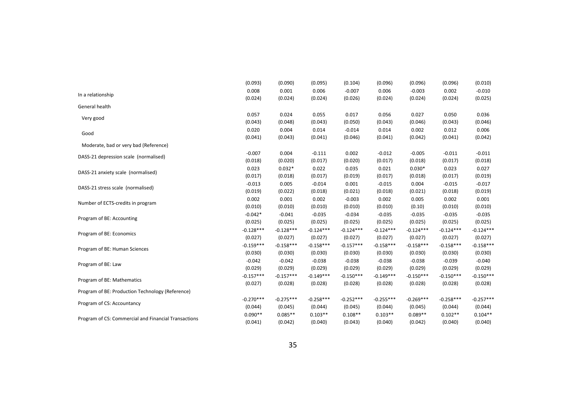|                                                      | (0.093)     | (0.090)     | (0.095)     | (0.104)     | (0.096)     | (0.096)     | (0.096)     | (0.010)     |
|------------------------------------------------------|-------------|-------------|-------------|-------------|-------------|-------------|-------------|-------------|
| In a relationship                                    | 0.008       | 0.001       | 0.006       | $-0.007$    | 0.006       | $-0.003$    | 0.002       | $-0.010$    |
|                                                      | (0.024)     | (0.024)     | (0.024)     | (0.026)     | (0.024)     | (0.024)     | (0.024)     | (0.025)     |
| General health                                       |             |             |             |             |             |             |             |             |
|                                                      | 0.057       | 0.024       | 0.055       | 0.017       | 0.056       | 0.027       | 0.050       | 0.036       |
| Very good                                            | (0.043)     | (0.048)     | (0.043)     | (0.050)     | (0.043)     | (0.046)     | (0.043)     | (0.046)     |
| Good                                                 | 0.020       | 0.004       | 0.014       | $-0.014$    | 0.014       | 0.002       | 0.012       | 0.006       |
|                                                      | (0.041)     | (0.043)     | (0.041)     | (0.046)     | (0.041)     | (0.042)     | (0.041)     | (0.042)     |
| Moderate, bad or very bad (Reference)                |             |             |             |             |             |             |             |             |
| DASS-21 depression scale (normalised)                | $-0.007$    | 0.004       | $-0.111$    | 0.002       | $-0.012$    | $-0.005$    | $-0.011$    | $-0.011$    |
|                                                      | (0.018)     | (0.020)     | (0.017)     | (0.020)     | (0.017)     | (0.018)     | (0.017)     | (0.018)     |
| DASS-21 anxiety scale (normalised)                   | 0.023       | $0.032*$    | 0.022       | 0.035       | 0.021       | $0.030*$    | 0.023       | 0.027       |
|                                                      | (0.017)     | (0.018)     | (0.017)     | (0.019)     | (0.017)     | (0.018)     | (0.017)     | (0.019)     |
| DASS-21 stress scale (normalised)                    | $-0.013$    | 0.005       | $-0.014$    | 0.001       | $-0.015$    | 0.004       | $-0.015$    | $-0.017$    |
|                                                      | (0.019)     | (0.022)     | (0.018)     | (0.021)     | (0.018)     | (0.021)     | (0.018)     | (0.019)     |
|                                                      | 0.002       | 0.001       | 0.002       | $-0.003$    | 0.002       | 0.005       | 0.002       | 0.001       |
| Number of ECTS-credits in program                    | (0.010)     | (0.010)     | (0.010)     | (0.010)     | (0.010)     | (0.10)      | (0.010)     | (0.010)     |
|                                                      | $-0.042*$   | $-0.041$    | $-0.035$    | $-0.034$    | $-0.035$    | $-0.035$    | $-0.035$    | $-0.035$    |
| Program of BE: Accounting                            | (0.025)     | (0.025)     | (0.025)     | (0.025)     | (0.025)     | (0.025)     | (0.025)     | (0.025)     |
|                                                      | $-0.128***$ | $-0.128***$ | $-0.124***$ | $-0.124***$ | $-0.124***$ | $-0.124***$ | $-0.124***$ | $-0.124***$ |
| Program of BE: Economics                             | (0.027)     | (0.027)     | (0.027)     | (0.027)     | (0.027)     | (0.027)     | (0.027)     | (0.027)     |
|                                                      | $-0.159***$ | $-0.158***$ | $-0.158***$ | $-0.157***$ | $-0.158***$ | $-0.158***$ | $-0.158***$ | $-0.158***$ |
| Program of BE: Human Sciences                        | (0.030)     | (0.030)     | (0.030)     | (0.030)     | (0.030)     | (0.030)     | (0.030)     | (0.030)     |
| Program of BE: Law                                   | $-0.042$    | $-0.042$    | $-0.038$    | $-0.038$    | $-0.038$    | $-0.038$    | $-0.039$    | $-0.040$    |
|                                                      | (0.029)     | (0.029)     | (0.029)     | (0.029)     | (0.029)     | (0.029)     | (0.029)     | (0.029)     |
|                                                      | $-0.157***$ | $-0.157***$ | $-0.149***$ | $-0.150***$ | $-0.149***$ | $-0.150***$ | $-0.150***$ | $-0.150***$ |
| Program of BE: Mathematics                           | (0.027)     | (0.028)     | (0.028)     | (0.028)     | (0.028)     | (0.028)     | (0.028)     | (0.028)     |
| Program of BE: Production Technology (Reference)     |             |             |             |             |             |             |             |             |
|                                                      | $-0.270***$ | $-0.275***$ | $-0.258***$ | $-0.252***$ | $-0.255***$ | $-0.269***$ | $-0.258***$ | $-0.257***$ |
| Program of CS: Accountancy                           | (0.044)     | (0.045)     | (0.044)     | (0.045)     | (0.044)     | (0.045)     | (0.044)     | (0.044)     |
|                                                      | $0.090**$   | $0.085**$   | $0.103**$   | $0.108**$   | $0.103**$   | $0.089**$   | $0.102**$   | $0.104**$   |
| Program of CS: Commercial and Financial Transactions | (0.041)     | (0.042)     | (0.040)     | (0.043)     | (0.040)     | (0.042)     | (0.040)     | (0.040)     |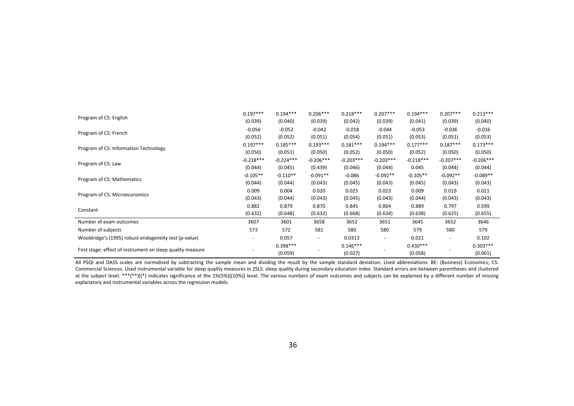|                                                            | $0.197***$               | $0.194***$  | $0.206***$               | $0.218***$  | $0.207***$               | $0.194***$  | $0.207***$               | $0.213***$  |
|------------------------------------------------------------|--------------------------|-------------|--------------------------|-------------|--------------------------|-------------|--------------------------|-------------|
| Program of CS: English                                     | (0.039)                  | (0.040)     | (0.039)                  | (0.042)     | (0.039)                  | (0.041)     | (0.039)                  | (0.040)     |
| Program of CS: French                                      | $-0.056$                 | $-0.052$    | $-0.042$                 | $-0.018$    | $-0.044$                 | $-0.053$    | $-0.036$                 | $-0.016$    |
|                                                            | (0.052)                  | (0.052)     | (0.051)                  | (0.054)     | (0.051)                  | (0.053)     | (0.051)                  | (0.053)     |
| Program of CS: Information Technology                      | $0.197***$               | $0.185***$  | $0.193***$               | $0.181***$  | $0.194***$               | $0.177***$  | $0.187***$               | $0.173***$  |
|                                                            | (0.050)                  | (0.051)     | (0.050)                  | (0.052)     | (0.050)                  | (0.052)     | (0.050)                  | (0.050)     |
| Program of CS: Law                                         | $-0.218***$              | $-0.224***$ | $-0.206***$              | $-0.203***$ | $-0.203***$              | $-0.218***$ | $-0.207***$              | $-0.206***$ |
|                                                            | (0.044)                  | (0.045)     | (0.439)                  | (0.046)     | (0.044)                  | 0.045       | (0.044)                  | (0.044)     |
| Program of CS: Mathematics                                 | $-0.105**$               | $-0.110**$  | $-0.091**$               | $-0.086$    | $-0.092**$               | $-0.105**$  | $-0.092**$               | $-0.089**$  |
|                                                            | (0.044)                  | (0.044)     | (0.043)                  | (0.045)     | (0.043)                  | (0.045)     | (0.043)                  | (0.043)     |
| Program of CS: Microeconomics                              | 0.009                    | 0.004       | 0.020                    | 0.025       | 0.023                    | 0.009       | 0.019                    | 0.021       |
|                                                            | (0.043)                  | (0.044)     | (0.043)                  | (0.045)     | (0.043)                  | (0.044)     | (0.043)                  | (0.043)     |
| Constant                                                   | 0.882                    | 0.879       | 0.870                    | 0.845       | 0.864                    | 0.889       | 0.797                    | 0.599       |
|                                                            | (0.632)                  | (0.648)     | (0.632)                  | (0.668)     | (0.634)                  | (0.638)     | (0.625)                  | (0.655)     |
| Number of exam outcomes                                    | 3607                     | 3601        | 3658                     | 3652        | 3651                     | 3645        | 3652                     | 3646        |
| Number of subjects                                         | 573                      | 572         | 581                      | 580         | 580                      | 579         | 580                      | 579         |
| Wooldridge's (1995) robust endogeneity test (p-value)      | $\overline{\phantom{a}}$ | 0.057       | $\overline{\phantom{a}}$ | 0.0313      | $\overline{\phantom{a}}$ | 0.021       | $\overline{\phantom{a}}$ | 0.102       |
|                                                            |                          | $0.398***$  |                          | $0.146***$  |                          | $0.430***$  |                          | $0.303***$  |
| First stage: effect of instrument on sleep quality measure |                          | (0.059)     |                          | (0.027)     |                          | (0.058)     |                          | (0.061)     |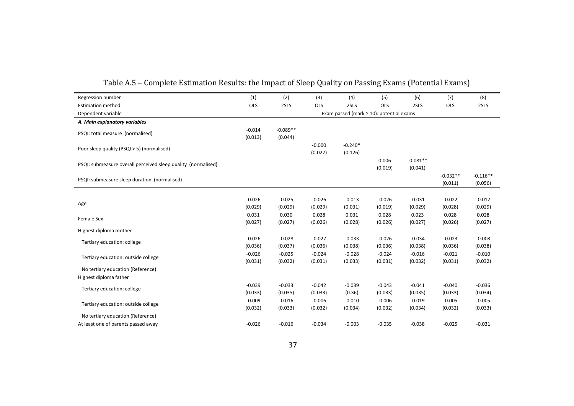| Regression number                                             | (1)                                            | (2)                   | (3)                 | (4)                  | (5)                 | (6)                   | (7)                   | (8)                   |
|---------------------------------------------------------------|------------------------------------------------|-----------------------|---------------------|----------------------|---------------------|-----------------------|-----------------------|-----------------------|
| <b>Estimation method</b>                                      | OLS                                            | 2SLS                  | OLS                 | 2SLS                 | OLS                 | 2SLS                  | OLS                   | 2SLS                  |
| Dependent variable                                            | Exam passed (mark $\geq 10$ ): potential exams |                       |                     |                      |                     |                       |                       |                       |
| A. Main explanatory variables                                 |                                                |                       |                     |                      |                     |                       |                       |                       |
| PSQI: total measure (normalised)                              | $-0.014$<br>(0.013)                            | $-0.089**$<br>(0.044) |                     |                      |                     |                       |                       |                       |
| Poor sleep quality (PSQI > 5) (normalised)                    |                                                |                       | $-0.000$<br>(0.027) | $-0.240*$<br>(0.126) |                     |                       |                       |                       |
| PSQI: submeasure overall perceived sleep quality (normalised) |                                                |                       |                     |                      | 0.006<br>(0.019)    | $-0.081**$<br>(0.041) |                       |                       |
| PSQI: submeasure sleep duration (normalised)                  |                                                |                       |                     |                      |                     |                       | $-0.032**$<br>(0.011) | $-0.116**$<br>(0.056) |
|                                                               |                                                |                       |                     |                      |                     |                       |                       |                       |
| Age                                                           | $-0.026$<br>(0.029)                            | $-0.025$<br>(0.029)   | $-0.026$<br>(0.029) | $-0.013$<br>(0.031)  | $-0.026$<br>(0.019) | $-0.031$<br>(0.029)   | $-0.022$<br>(0.028)   | $-0.012$<br>(0.029)   |
| Female Sex                                                    | 0.031<br>(0.027)                               | 0.030<br>(0.027)      | 0.028<br>(0.026)    | 0.031<br>(0.028)     | 0.028<br>(0.026)    | 0.023<br>(0.027)      | 0.028<br>(0.026)      | 0.028<br>(0.027)      |
| Highest diploma mother                                        |                                                |                       |                     |                      |                     |                       |                       |                       |
| Tertiary education: college                                   | $-0.026$<br>(0.036)                            | $-0.028$<br>(0.037)   | $-0.027$<br>(0.036) | $-0.033$<br>(0.038)  | $-0.026$<br>(0.036) | $-0.034$<br>(0.038)   | $-0.023$<br>(0.036)   | $-0.008$<br>(0.038)   |
| Tertiary education: outside college                           | $-0.026$<br>(0.031)                            | $-0.025$<br>(0.032)   | $-0.024$<br>(0.031) | $-0.028$<br>(0.033)  | $-0.024$<br>(0.031) | $-0.016$<br>(0.032)   | $-0.021$<br>(0.031)   | $-0.010$<br>(0.032)   |
| No tertiary education (Reference)                             |                                                |                       |                     |                      |                     |                       |                       |                       |
| Highest diploma father                                        |                                                |                       |                     |                      |                     |                       |                       |                       |
| Tertiary education: college                                   | $-0.039$<br>(0.033)                            | $-0.033$<br>(0.035)   | $-0.042$<br>(0.033) | $-0.039$<br>(0.36)   | $-0.043$<br>(0.033) | $-0.041$<br>(0.035)   | $-0.040$<br>(0.033)   | $-0.036$<br>(0.034)   |
| Tertiary education: outside college                           | $-0.009$<br>(0.032)                            | $-0.016$<br>(0.033)   | $-0.006$<br>(0.032) | $-0.010$<br>(0.034)  | $-0.006$<br>(0.032) | $-0.019$<br>(0.034)   | $-0.005$<br>(0.032)   | $-0.005$<br>(0.033)   |
| No tertiary education (Reference)                             |                                                |                       |                     |                      |                     |                       |                       |                       |
| At least one of parents passed away                           | $-0.026$                                       | $-0.016$              | $-0.034$            | $-0.003$             | $-0.035$            | $-0.038$              | $-0.025$              | $-0.031$              |

Table A.5 – Complete Estimation Results: the Impact of Sleep Quality on Passing Exams (Potential Exams)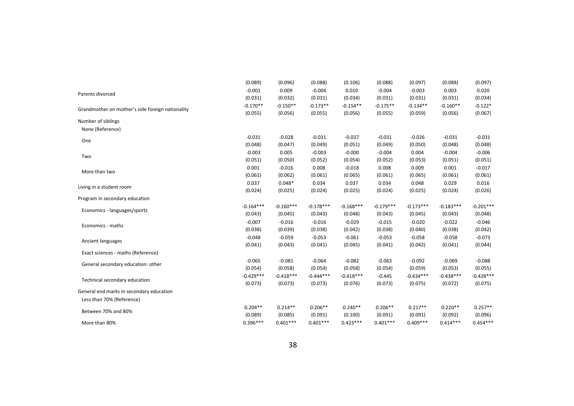|                                                  | (0.089)     | (0.096)     | (0.088)     | (0.106)     | (0.088)     | (0.097)     | (0.088)     | (0.097)     |
|--------------------------------------------------|-------------|-------------|-------------|-------------|-------------|-------------|-------------|-------------|
| Parents divorced                                 | $-0.001$    | 0.009       | $-0.004$    | 0.010       | $-0.004$    | $-0.003$    | 0.003       | 0.020       |
|                                                  | (0.031)     | (0.032)     | (0.031)     | (0.034)     | (0.031)     | (0.031)     | (0.031)     | (0.034)     |
| Grandmother on mother's side foreign nationality | $-0.170**$  | $-0.150**$  | $-0.173**$  | $-0.154**$  | $-0.175**$  | $-0.134**$  | $-0.160**$  | $-0.122*$   |
|                                                  | (0.055)     | (0.056)     | (0.055)     | (0.056)     | (0.055)     | (0.059)     | (0.056)     | (0.067)     |
| Number of siblings                               |             |             |             |             |             |             |             |             |
| None (Reference)                                 |             |             |             |             |             |             |             |             |
| One                                              | $-0.031$    | $-0.028$    | $-0.031$    | $-0.037$    | $-0.031$    | $-0.026$    | $-0.031$    | $-0.031$    |
|                                                  | (0.048)     | (0.047)     | (0.049)     | (0.051)     | (0.049)     | (0.050)     | (0.048)     | (0.048)     |
| Two                                              | $-0.003$    | 0.005       | $-0.003$    | $-0.000$    | $-0.004$    | 0.004       | $-0.004$    | $-0.006$    |
|                                                  | (0.051)     | (0.050)     | (0.052)     | (0.054)     | (0.052)     | (0.053)     | (0.051)     | (0.051)     |
| More than two                                    | 0.001       | $-0.016$    | 0.008       | $-0.018$    | 0.008       | 0.009       | 0.001       | $-0.017$    |
|                                                  | (0.061)     | (0.062)     | (0.061)     | (0.065)     | (0.061)     | (0.065)     | (0.061)     | (0.061)     |
| Living in a student room                         | 0.037       | $0.048*$    | 0.034       | 0.037       | 0.034       | 0.048       | 0.029       | 0.016       |
|                                                  | (0.024)     | (0.025)     | (0.024)     | (0.025)     | (0.024)     | (0.025)     | (0.024)     | (0.026)     |
| Program in secondary education                   |             |             |             |             |             |             |             |             |
| Economics - languages/sports                     | $-0.164***$ | $-0.160***$ | $-0.178***$ | $-0.168***$ | $-0.179***$ | $-0.173***$ | $-0.183***$ | $-0.201***$ |
|                                                  | (0.043)     | (0.045)     | (0.043)     | (0.048)     | (0.043)     | (0.045)     | (0.043)     | (0.048)     |
| Economics - maths                                | $-0.007$    | $-0.016$    | $-0.016$    | $-0.029$    | $-0.015$    | $-0.020$    | $-0.022$    | $-0.046$    |
|                                                  | (0.038)     | (0.039)     | (0.038)     | (0.042)     | (0.038)     | (0.040)     | (0.038)     | (0.042)     |
| Ancient languages                                | $-0.048$    | $-0.059$    | $-0.053$    | $-0.061$    | $-0.053$    | $-0.058$    | $-0.058$    | $-0.073$    |
|                                                  | (0.041)     | (0.043)     | (0.041)     | (0.045)     | (0.041)     | (0.042)     | (0.041)     | (0.044)     |
| Exact sciences - maths (Reference)               |             |             |             |             |             |             |             |             |
| General secondary education: other               | $-0.065$    | $-0.081$    | $-0.064$    | $-0.082$    | $-0.063$    | $-0.092$    | $-0.069$    | $-0.088$    |
|                                                  | (0.054)     | (0.058)     | (0.054)     | (0.058)     | (0.054)     | (0.059)     | (0.053)     | (0.055)     |
| Technical secondary education                    | $-0.429***$ | $-0.418***$ | $-0.444***$ | $-0.418***$ | $-0.445$    | $-0.434***$ | $-0.438***$ | $-0.428***$ |
|                                                  | (0.073)     | (0.073)     | (0.073)     | (0.076)     | (0.073)     | (0.075)     | (0.072)     | (0.075)     |
| General end marks in secondary education         |             |             |             |             |             |             |             |             |
| Less than 70% (Reference)                        |             |             |             |             |             |             |             |             |
| Between 70% and 80%                              | $0.204**$   | $0.214**$   | $0.206**$   | $0.240**$   | $0.206**$   | $0.217**$   | $0.220**$   | $0.257**$   |
|                                                  | (0.089)     | (0.085)     | (0.091)     | (0.100)     | (0.091)     | (0.091)     | (0.092)     | (0.096)     |
| More than 80%                                    | $0.396***$  | $0.401***$  | $0.401***$  | $0.423***$  | $0.401***$  | $0.409***$  | $0.414***$  | $0.454***$  |

38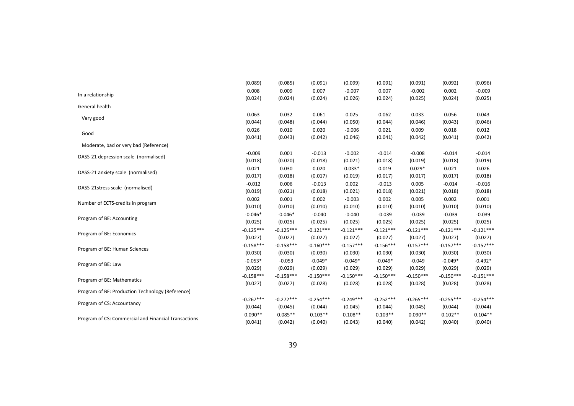|                                                      | (0.089)     | (0.085)     | (0.091)     | (0.099)     | (0.091)     | (0.091)     | (0.092)     | (0.096)     |
|------------------------------------------------------|-------------|-------------|-------------|-------------|-------------|-------------|-------------|-------------|
| In a relationship                                    | 0.008       | 0.009       | 0.007       | $-0.007$    | 0.007       | $-0.002$    | 0.002       | $-0.009$    |
|                                                      | (0.024)     | (0.024)     | (0.024)     | (0.026)     | (0.024)     | (0.025)     | (0.024)     | (0.025)     |
| General health                                       |             |             |             |             |             |             |             |             |
|                                                      | 0.063       | 0.032       | 0.061       | 0.025       | 0.062       | 0.033       | 0.056       | 0.043       |
| Very good                                            | (0.044)     | (0.048)     | (0.044)     | (0.050)     | (0.044)     | (0.046)     | (0.043)     | (0.046)     |
| Good                                                 | 0.026       | 0.010       | 0.020       | $-0.006$    | 0.021       | 0.009       | 0.018       | 0.012       |
|                                                      | (0.041)     | (0.043)     | (0.042)     | (0.046)     | (0.041)     | (0.042)     | (0.041)     | (0.042)     |
| Moderate, bad or very bad (Reference)                |             |             |             |             |             |             |             |             |
| DASS-21 depression scale (normalised)                | $-0.009$    | 0.001       | $-0.013$    | $-0.002$    | $-0.014$    | $-0.008$    | $-0.014$    | $-0.014$    |
|                                                      | (0.018)     | (0.020)     | (0.018)     | (0.021)     | (0.018)     | (0.019)     | (0.018)     | (0.019)     |
| DASS-21 anxiety scale (normalised)                   | 0.021       | 0.030       | 0.020       | $0.033*$    | 0.019       | $0.029*$    | 0.021       | 0.026       |
|                                                      | (0.017)     | (0.018)     | (0.017)     | (0.019)     | (0.017)     | (0.017)     | (0.017)     | (0.018)     |
| DASS-21stress scale (normalised)                     | $-0.012$    | 0.006       | $-0.013$    | 0.002       | $-0.013$    | 0.005       | $-0.014$    | $-0.016$    |
|                                                      | (0.019)     | (0.021)     | (0.018)     | (0.021)     | (0.018)     | (0.021)     | (0.018)     | (0.018)     |
|                                                      | 0.002       | 0.001       | 0.002       | $-0.003$    | 0.002       | 0.005       | 0.002       | 0.001       |
| Number of ECTS-credits in program                    | (0.010)     | (0.010)     | (0.010)     | (0.010)     | (0.010)     | (0.010)     | (0.010)     | (0.010)     |
|                                                      | $-0.046*$   | $-0.046*$   | $-0.040$    | $-0.040$    | $-0.039$    | $-0.039$    | $-0.039$    | $-0.039$    |
| Program of BE: Accounting                            | (0.025)     | (0.025)     | (0.025)     | (0.025)     | (0.025)     | (0.025)     | (0.025)     | (0.025)     |
|                                                      | $-0.125***$ | $-0.125***$ | $-0.121***$ | $-0.121***$ | $-0.121***$ | $-0.121***$ | $-0.121***$ | $-0.121***$ |
| Program of BE: Economics                             | (0.027)     | (0.027)     | (0.027)     | (0.027)     | (0.027)     | (0.027)     | (0.027)     | (0.027)     |
|                                                      | $-0.158***$ | $-0.158***$ | $-0.160***$ | $-0.157***$ | $-0.156***$ | $-0.157***$ | $-0.157***$ | $-0.157***$ |
| Program of BE: Human Sciences                        | (0.030)     | (0.030)     | (0.030)     | (0.030)     | (0.030)     | (0.030)     | (0.030)     | (0.030)     |
| Program of BE: Law                                   | $-0.053*$   | $-0.053$    | $-0.049*$   | $-0.049*$   | $-0.049*$   | $-0.049$    | $-0.049*$   | $-0.492*$   |
|                                                      | (0.029)     | (0.029)     | (0.029)     | (0.029)     | (0.029)     | (0.029)     | (0.029)     | (0.029)     |
|                                                      | $-0.158***$ | $-0.158***$ | $-0.150***$ | $-0.150***$ | $-0.150***$ | $-0.150***$ | $-0.150***$ | $-0.151***$ |
| Program of BE: Mathematics                           | (0.027)     | (0.027)     | (0.028)     | (0.028)     | (0.028)     | (0.028)     | (0.028)     | (0.028)     |
| Program of BE: Production Technology (Reference)     |             |             |             |             |             |             |             |             |
|                                                      | $-0.267***$ | $-0.272***$ | $-0.254***$ | $-0.249***$ | $-0.252***$ | $-0.265***$ | $-0.255***$ | $-0.254***$ |
| Program of CS: Accountancy                           | (0.044)     | (0.045)     | (0.044)     | (0.045)     | (0.044)     | (0.045)     | (0.044)     | (0.044)     |
|                                                      | $0.090**$   | $0.085**$   | $0.103**$   | $0.108**$   | $0.103**$   | $0.090**$   | $0.102**$   | $0.104**$   |
| Program of CS: Commercial and Financial Transactions | (0.041)     | (0.042)     | (0.040)     | (0.043)     | (0.040)     | (0.042)     | (0.040)     | (0.040)     |